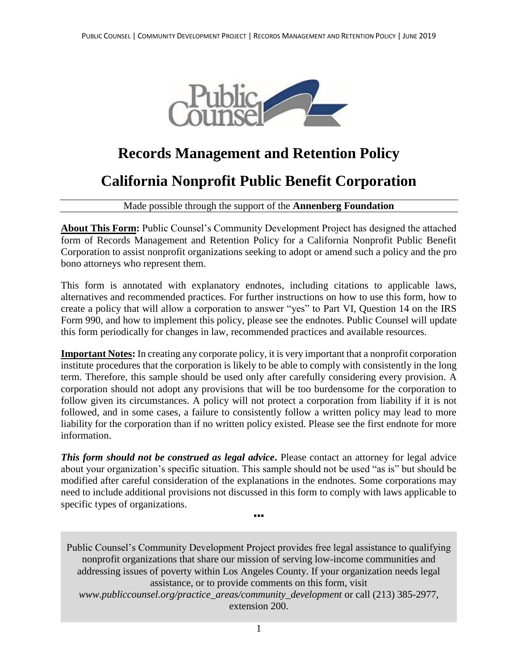

# **Records Management and Retention Policy**

# **California Nonprofit Public Benefit Corporation**

Made possible through the support of the **Annenberg Foundation**

**About This Form:** Public Counsel's Community Development Project has designed the attached form of Records Management and Retention Policy for a California Nonprofit Public Benefit Corporation to assist nonprofit organizations seeking to adopt or amend such a policy and the pro bono attorneys who represent them.

This form is annotated with explanatory endnotes, including citations to applicable laws, alternatives and recommended practices. For further instructions on how to use this form, how to create a policy that will allow a corporation to answer "yes" to Part VI, Question 14 on the IRS Form 990, and how to implement this policy, please see the endnotes. Public Counsel will update this form periodically for changes in law, recommended practices and available resources.

**Important Notes:** In creating any corporate policy, it is very important that a nonprofit corporation institute procedures that the corporation is likely to be able to comply with consistently in the long term. Therefore, this sample should be used only after carefully considering every provision. A corporation should not adopt any provisions that will be too burdensome for the corporation to follow given its circumstances. A policy will not protect a corporation from liability if it is not followed, and in some cases, a failure to consistently follow a written policy may lead to more liability for the corporation than if no written policy existed. Please see the first endnote for more information.

*This form should not be construed as legal advice***.** Please contact an attorney for legal advice about your organization's specific situation. This sample should not be used "as is" but should be modified after careful consideration of the explanations in the endnotes. Some corporations may need to include additional provisions not discussed in this form to comply with laws applicable to specific types of organizations.

▪▪▪

Public Counsel's Community Development Project provides free legal assistance to qualifying nonprofit organizations that share our mission of serving low-income communities and addressing issues of poverty within Los Angeles County. If your organization needs legal assistance, or to provide comments on this form, visit *www.publiccounsel.org/practice\_areas/community\_development* or call (213) 385-2977, extension 200.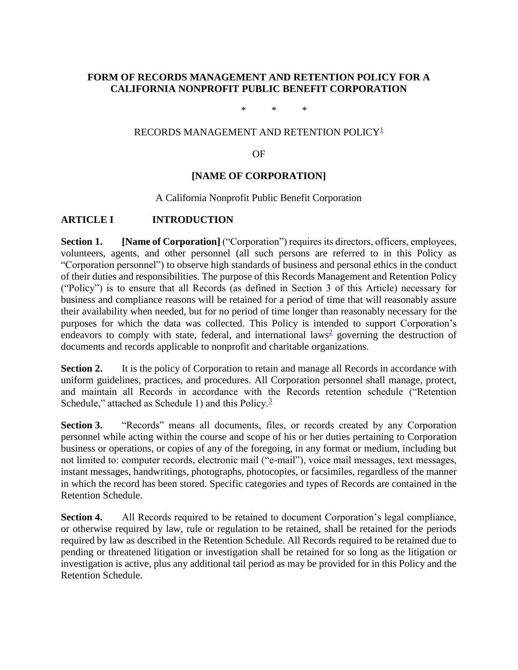## **FORM OF RECORDS MANAGEMENT AND RETENTION POLICY FOR A CALIFORNIA NONPROFIT PUBLIC BENEFIT CORPORATION**

\* \* \*

## RECORDS MANAGEMENT AND RETENTION POLICY<sup>[1](#page-4-0)</sup>

#### OF

#### **[NAME OF CORPORATION]**

#### A California Nonprofit Public Benefit Corporation

## **ARTICLE I INTRODUCTION**

**Section 1. [Name of Corporation]** ("Corporation") requires its directors, officers, employees, volunteers, agents, and other personnel (all such persons are referred to in this Policy as "Corporation personnel") to observe high standards of business and personal ethics in the conduct of their duties and responsibilities. The purpose of this Records Management and Retention Policy ("Policy") is to ensure that all Records (as defined in Section 3 of this Article) necessary for business and compliance reasons will be retained for a period of time that will reasonably assure their availability when needed, but for no period of time longer than reasonably necessary for the purposes for which the data was collected. This Policy is intended to support Corporation's endeavors to comply with state, federal, and international laws<sup>[2](#page-5-0)</sup> governing the destruction of documents and records applicable to nonprofit and charitable organizations.

**Section 2.** It is the policy of Corporation to retain and manage all Records in accordance with uniform guidelines, practices, and procedures. All Corporation personnel shall manage, protect, and maintain all Records in accordance with the Records retention schedule ("Retention Schedule," attached as Schedule 1) and this Policy. $\frac{3}{2}$  $\frac{3}{2}$  $\frac{3}{2}$ 

**Section 3.** "Records" means all documents, files, or records created by any Corporation personnel while acting within the course and scope of his or her duties pertaining to Corporation business or operations, or copies of any of the foregoing, in any format or medium, including but not limited to: computer records, electronic mail ("e-mail"), voice mail messages, text messages, instant messages, handwritings, photographs, photocopies, or facsimiles, regardless of the manner in which the record has been stored. Specific categories and types of Records are contained in the Retention Schedule.

**Section 4.** All Records required to be retained to document Corporation's legal compliance, or otherwise required by law, rule or regulation to be retained, shall be retained for the periods required by law as described in the Retention Schedule. All Records required to be retained due to pending or threatened litigation or investigation shall be retained for so long as the litigation or investigation is active, plus any additional tail period as may be provided for in this Policy and the Retention Schedule.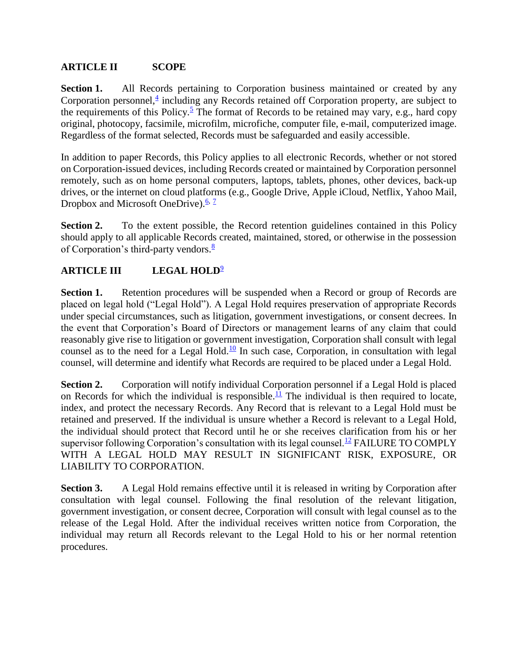# **ARTICLE II SCOPE**

**Section 1.** All Records pertaining to Corporation business maintained or created by any Corporation personnel,<sup>[4](#page-5-2)</sup> including any Records retained off Corporation property, are subject to the requirements of this Policy.<sup>[5](#page-5-3)</sup> The format of Records to be retained may vary, e.g., hard copy original, photocopy, facsimile, microfilm, microfiche, computer file, e-mail, computerized image. Regardless of the format selected, Records must be safeguarded and easily accessible.

In addition to paper Records, this Policy applies to all electronic Records, whether or not stored on Corporation-issued devices, including Records created or maintained by Corporation personnel remotely, such as on home personal computers, laptops, tablets, phones, other devices, back-up drives, or the internet on cloud platforms (e.g., Google Drive, Apple iCloud, Netflix, Yahoo Mail, Dropbox and Microsoft OneDrive).<sup>[6,](#page-5-4) [7](#page-5-5)</sup>

Section 2. To the extent possible, the Record retention guidelines contained in this Policy should apply to all applicable Records created, maintained, stored, or otherwise in the possession of Corporation's third-party vendors. $\frac{8}{3}$  $\frac{8}{3}$  $\frac{8}{3}$ 

# **ARTICLE III LEGAL HOLD**[9](#page-6-1)

Section 1. Retention procedures will be suspended when a Record or group of Records are placed on legal hold ("Legal Hold"). A Legal Hold requires preservation of appropriate Records under special circumstances, such as litigation, government investigations, or consent decrees. In the event that Corporation's Board of Directors or management learns of any claim that could reasonably give rise to litigation or government investigation, Corporation shall consult with legal counsel as to the need for a Legal Hold.<sup>[10](#page-6-2)</sup> In such case, Corporation, in consultation with legal counsel, will determine and identify what Records are required to be placed under a Legal Hold.

**Section 2.** Corporation will notify individual Corporation personnel if a Legal Hold is placed on Records for which the individual is responsible.<sup>[11](#page-6-3)</sup> The individual is then required to locate, index, and protect the necessary Records. Any Record that is relevant to a Legal Hold must be retained and preserved. If the individual is unsure whether a Record is relevant to a Legal Hold, the individual should protect that Record until he or she receives clarification from his or her supervisor following Corporation's consultation with its legal counsel.<sup>[12](#page-7-0)</sup> FAILURE TO COMPLY WITH A LEGAL HOLD MAY RESULT IN SIGNIFICANT RISK, EXPOSURE, OR LIABILITY TO CORPORATION.

**Section 3.** A Legal Hold remains effective until it is released in writing by Corporation after consultation with legal counsel. Following the final resolution of the relevant litigation, government investigation, or consent decree, Corporation will consult with legal counsel as to the release of the Legal Hold. After the individual receives written notice from Corporation, the individual may return all Records relevant to the Legal Hold to his or her normal retention procedures.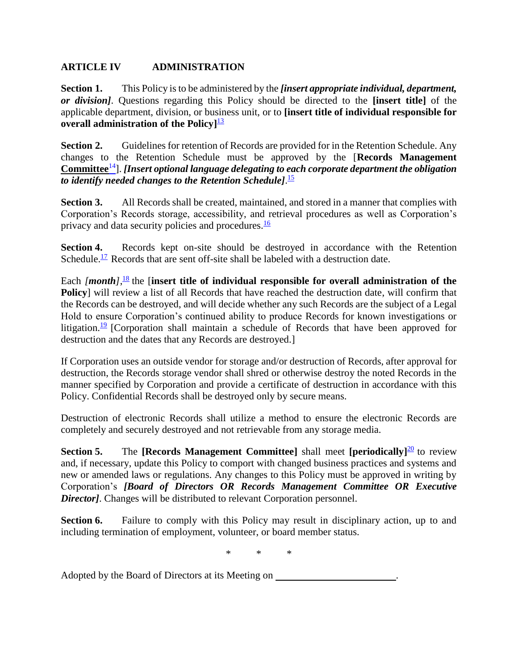## **ARTICLE IV ADMINISTRATION**

**Section 1.** This Policy is to be administered by the *[insert appropriate individual, department, or division]*. Questions regarding this Policy should be directed to the **[insert title]** of the applicable department, division, or business unit, or to **[insert title of individual responsible for overall administration of the Policy]** [13](#page-7-1)

**Section 2.** Guidelines for retention of Records are provided for in the Retention Schedule. Any changes to the Retention Schedule must be approved by the [**Records Management Committee**[14](#page-7-2)]. *[Insert optional language delegating to each corporate department the obligation to identify needed changes to the Retention Schedule]*. [15](#page-7-3)

**Section 3.** All Records shall be created, maintained, and stored in a manner that complies with Corporation's Records storage, accessibility, and retrieval procedures as well as Corporation's privacy and data security policies and procedures.<sup>[16](#page-8-0)</sup>

**Section 4.** Records kept on-site should be destroyed in accordance with the Retention Schedule.<sup>[17](#page-9-0)</sup> Records that are sent off-site shall be labeled with a destruction date.

Each *[month]*,<sup>[18](#page-9-1)</sup> the [insert title of individual responsible for overall administration of the **Policy**] will review a list of all Records that have reached the destruction date, will confirm that the Records can be destroyed, and will decide whether any such Records are the subject of a Legal Hold to ensure Corporation's continued ability to produce Records for known investigations or litigation.<sup>[19](#page-9-2)</sup> [Corporation shall maintain a schedule of Records that have been approved for destruction and the dates that any Records are destroyed.]

If Corporation uses an outside vendor for storage and/or destruction of Records, after approval for destruction, the Records storage vendor shall shred or otherwise destroy the noted Records in the manner specified by Corporation and provide a certificate of destruction in accordance with this Policy. Confidential Records shall be destroyed only by secure means.

Destruction of electronic Records shall utilize a method to ensure the electronic Records are completely and securely destroyed and not retrievable from any storage media.

**Section 5.** The **[Records Management Committee]** shall meet **[periodically**]<sup>[20](#page-9-3)</sup> to review and, if necessary, update this Policy to comport with changed business practices and systems and new or amended laws or regulations. Any changes to this Policy must be approved in writing by Corporation's *[Board of Directors OR Records Management Committee OR Executive*  **Director**]. Changes will be distributed to relevant Corporation personnel.

**Section 6.** Failure to comply with this Policy may result in disciplinary action, up to and including termination of employment, volunteer, or board member status.

\* \* \*

Adopted by the Board of Directors at its Meeting on .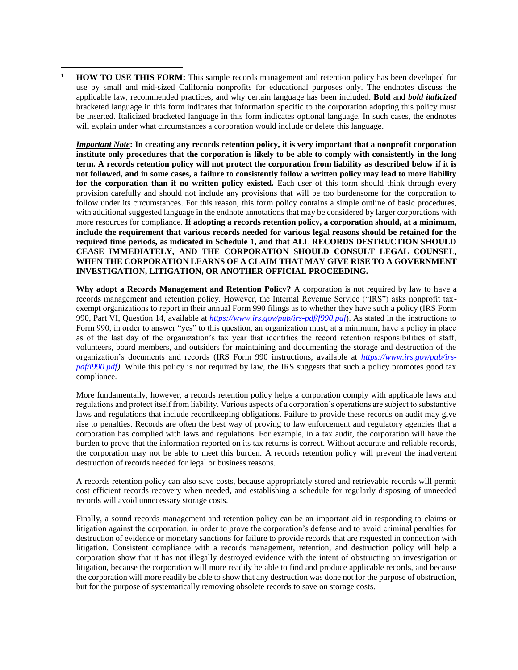<span id="page-4-0"></span><sup>1</sup> **HOW TO USE THIS FORM:** This sample records management and retention policy has been developed for use by small and mid-sized California nonprofits for educational purposes only. The endnotes discuss the applicable law, recommended practices, and why certain language has been included. **Bold** and *bold italicized* bracketed language in this form indicates that information specific to the corporation adopting this policy must be inserted. Italicized bracketed language in this form indicates optional language. In such cases, the endnotes will explain under what circumstances a corporation would include or delete this language.

 $\overline{a}$ 

*Important Note***: In creating any records retention policy, it is very important that a nonprofit corporation institute only procedures that the corporation is likely to be able to comply with consistently in the long term. A records retention policy will not protect the corporation from liability as described below if it is not followed, and in some cases, a failure to consistently follow a written policy may lead to more liability for the corporation than if no written policy existed.** Each user of this form should think through every provision carefully and should not include any provisions that will be too burdensome for the corporation to follow under its circumstances. For this reason, this form policy contains a simple outline of basic procedures, with additional suggested language in the endnote annotations that may be considered by larger corporations with more resources for compliance. **If adopting a records retention policy, a corporation should, at a minimum, include the requirement that various records needed for various legal reasons should be retained for the required time periods, as indicated in Schedule 1, and that ALL RECORDS DESTRUCTION SHOULD CEASE IMMEDIATELY, AND THE CORPORATION SHOULD CONSULT LEGAL COUNSEL, WHEN THE CORPORATION LEARNS OF A CLAIM THAT MAY GIVE RISE TO A GOVERNMENT INVESTIGATION, LITIGATION, OR ANOTHER OFFICIAL PROCEEDING.**

**Why adopt a Records Management and Retention Policy?** A corporation is not required by law to have a records management and retention policy. However, the Internal Revenue Service ("IRS") asks nonprofit taxexempt organizations to report in their annual Form 990 filings as to whether they have such a policy (IRS Form 990, Part VI, Question 14, available at *<https://www.irs.gov/pub/irs-pdf/f990.pdf>*). As stated in the instructions to Form 990, in order to answer "yes" to this question, an organization must, at a minimum, have a policy in place as of the last day of the organization's tax year that identifies the record retention responsibilities of staff, volunteers, board members, and outsiders for maintaining and documenting the storage and destruction of the organization's documents and records (IRS Form 990 instructions, available at *[https://www.irs.gov/pub/irs](https://www.irs.gov/pub/irs-pdf/i990.pdf)[pdf/i990.pdf\)](https://www.irs.gov/pub/irs-pdf/i990.pdf)*. While this policy is not required by law, the IRS suggests that such a policy promotes good tax compliance.

More fundamentally, however, a records retention policy helps a corporation comply with applicable laws and regulations and protect itself from liability. Various aspects of a corporation's operations are subject to substantive laws and regulations that include recordkeeping obligations. Failure to provide these records on audit may give rise to penalties. Records are often the best way of proving to law enforcement and regulatory agencies that a corporation has complied with laws and regulations. For example, in a tax audit, the corporation will have the burden to prove that the information reported on its tax returns is correct. Without accurate and reliable records, the corporation may not be able to meet this burden. A records retention policy will prevent the inadvertent destruction of records needed for legal or business reasons.

A records retention policy can also save costs, because appropriately stored and retrievable records will permit cost efficient records recovery when needed, and establishing a schedule for regularly disposing of unneeded records will avoid unnecessary storage costs.

Finally, a sound records management and retention policy can be an important aid in responding to claims or litigation against the corporation, in order to prove the corporation's defense and to avoid criminal penalties for destruction of evidence or monetary sanctions for failure to provide records that are requested in connection with litigation. Consistent compliance with a records management, retention, and destruction policy will help a corporation show that it has not illegally destroyed evidence with the intent of obstructing an investigation or litigation, because the corporation will more readily be able to find and produce applicable records, and because the corporation will more readily be able to show that any destruction was done not for the purpose of obstruction, but for the purpose of systematically removing obsolete records to save on storage costs.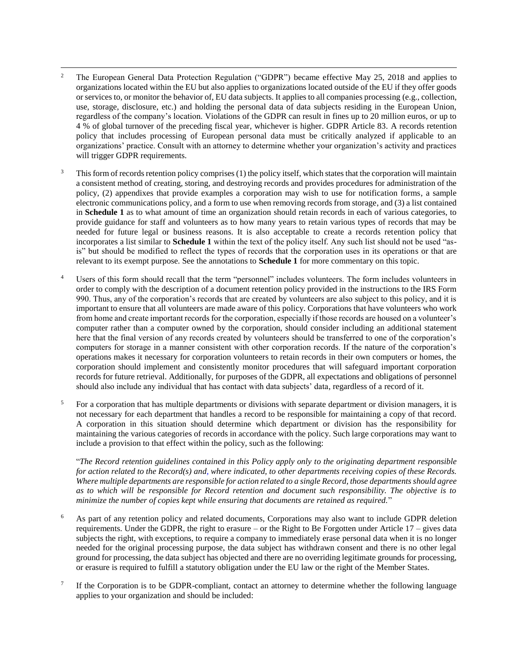- <span id="page-5-0"></span> $\overline{a}$ <sup>2</sup> The European General Data Protection Regulation ("GDPR") became effective May 25, 2018 and applies to organizations located within the EU but also applies to organizations located outside of the EU if they offer goods or services to, or monitor the behavior of, EU data subjects. It applies to all companies processing (e.g., collection, use, storage, disclosure, etc.) and holding the personal data of data subjects residing in the European Union, regardless of the company's location. Violations of the GDPR can result in fines up to 20 million euros, or up to 4 % of global turnover of the preceding fiscal year, whichever is higher. GDPR Article 83. A records retention policy that includes processing of European personal data must be critically analyzed if applicable to an organizations' practice. Consult with an attorney to determine whether your organization's activity and practices will trigger GDPR requirements.
- <span id="page-5-1"></span><sup>3</sup> This form of records retention policy comprises (1) the policy itself, which states that the corporation will maintain a consistent method of creating, storing, and destroying records and provides procedures for administration of the policy, (2) appendixes that provide examples a corporation may wish to use for notification forms, a sample electronic communications policy, and a form to use when removing records from storage, and (3) a list contained in **Schedule 1** as to what amount of time an organization should retain records in each of various categories, to provide guidance for staff and volunteers as to how many years to retain various types of records that may be needed for future legal or business reasons. It is also acceptable to create a records retention policy that incorporates a list similar to **Schedule 1** within the text of the policy itself. Any such list should not be used "asis" but should be modified to reflect the types of records that the corporation uses in its operations or that are relevant to its exempt purpose. See the annotations to **Schedule 1** for more commentary on this topic.
- <span id="page-5-2"></span><sup>4</sup> Users of this form should recall that the term "personnel" includes volunteers. The form includes volunteers in order to comply with the description of a document retention policy provided in the instructions to the IRS Form 990. Thus, any of the corporation's records that are created by volunteers are also subject to this policy, and it is important to ensure that all volunteers are made aware of this policy. Corporations that have volunteers who work from home and create important records for the corporation, especially if those records are housed on a volunteer's computer rather than a computer owned by the corporation, should consider including an additional statement here that the final version of any records created by volunteers should be transferred to one of the corporation's computers for storage in a manner consistent with other corporation records. If the nature of the corporation's operations makes it necessary for corporation volunteers to retain records in their own computers or homes, the corporation should implement and consistently monitor procedures that will safeguard important corporation records for future retrieval. Additionally, for purposes of the GDPR, all expectations and obligations of personnel should also include any individual that has contact with data subjects' data, regardless of a record of it.
- <span id="page-5-3"></span> $5$  For a corporation that has multiple departments or divisions with separate department or division managers, it is not necessary for each department that handles a record to be responsible for maintaining a copy of that record. A corporation in this situation should determine which department or division has the responsibility for maintaining the various categories of records in accordance with the policy. Such large corporations may want to include a provision to that effect within the policy, such as the following:

"*The Record retention guidelines contained in this Policy apply only to the originating department responsible for action related to the Record(s) and, where indicated, to other departments receiving copies of these Records. Where multiple departments are responsible for action related to a single Record, those departments should agree as to which will be responsible for Record retention and document such responsibility. The objective is to minimize the number of copies kept while ensuring that documents are retained as required.*"

- <span id="page-5-4"></span><sup>6</sup> As part of any retention policy and related documents, Corporations may also want to include GDPR deletion requirements. Under the GDPR, the right to erasure – or the Right to Be Forgotten under Article 17 – gives data subjects the right, with exceptions, to require a company to immediately erase personal data when it is no longer needed for the original processing purpose, the data subject has withdrawn consent and there is no other legal ground for processing, the data subject has objected and there are no overriding legitimate grounds for processing, or erasure is required to fulfill a statutory obligation under the EU law or the right of the Member States.
- <span id="page-5-5"></span>7 If the Corporation is to be GDPR-compliant, contact an attorney to determine whether the following language applies to your organization and should be included: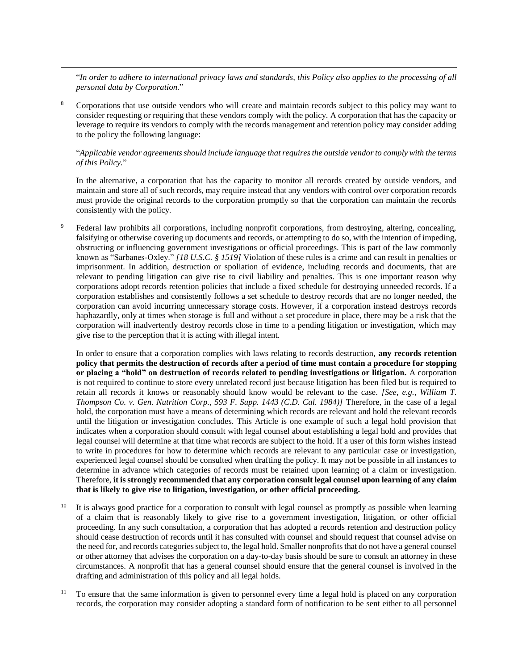"*In order to adhere to international privacy laws and standards, this Policy also applies to the processing of all personal data by Corporation.*"

<span id="page-6-0"></span><sup>8</sup> Corporations that use outside vendors who will create and maintain records subject to this policy may want to consider requesting or requiring that these vendors comply with the policy. A corporation that has the capacity or leverage to require its vendors to comply with the records management and retention policy may consider adding to the policy the following language:

 $\overline{a}$ 

#### "*Applicable vendor agreements should include language that requires the outside vendor to comply with the terms of this Policy.*"

In the alternative, a corporation that has the capacity to monitor all records created by outside vendors, and maintain and store all of such records, may require instead that any vendors with control over corporation records must provide the original records to the corporation promptly so that the corporation can maintain the records consistently with the policy.

<span id="page-6-1"></span><sup>9</sup> Federal law prohibits all corporations, including nonprofit corporations, from destroying, altering, concealing, falsifying or otherwise covering up documents and records, or attempting to do so, with the intention of impeding, obstructing or influencing government investigations or official proceedings. This is part of the law commonly known as "Sarbanes-Oxley." *[18 U.S.C. § 1519]* Violation of these rules is a crime and can result in penalties or imprisonment. In addition, destruction or spoliation of evidence, including records and documents, that are relevant to pending litigation can give rise to civil liability and penalties. This is one important reason why corporations adopt records retention policies that include a fixed schedule for destroying unneeded records. If a corporation establishes and consistently follows a set schedule to destroy records that are no longer needed, the corporation can avoid incurring unnecessary storage costs. However, if a corporation instead destroys records haphazardly, only at times when storage is full and without a set procedure in place, there may be a risk that the corporation will inadvertently destroy records close in time to a pending litigation or investigation, which may give rise to the perception that it is acting with illegal intent.

In order to ensure that a corporation complies with laws relating to records destruction, **any records retention policy that permits the destruction of records after a period of time must contain a procedure for stopping or placing a "hold" on destruction of records related to pending investigations or litigation.** A corporation is not required to continue to store every unrelated record just because litigation has been filed but is required to retain all records it knows or reasonably should know would be relevant to the case. *[See, e.g., William T. Thompson Co. v. Gen. Nutrition Corp., 593 F. Supp. 1443 (C.D. Cal. 1984)]* Therefore, in the case of a legal hold, the corporation must have a means of determining which records are relevant and hold the relevant records until the litigation or investigation concludes. This Article is one example of such a legal hold provision that indicates when a corporation should consult with legal counsel about establishing a legal hold and provides that legal counsel will determine at that time what records are subject to the hold. If a user of this form wishes instead to write in procedures for how to determine which records are relevant to any particular case or investigation, experienced legal counsel should be consulted when drafting the policy. It may not be possible in all instances to determine in advance which categories of records must be retained upon learning of a claim or investigation. Therefore, **it is strongly recommended that any corporation consult legal counsel upon learning of any claim that is likely to give rise to litigation, investigation, or other official proceeding.**

- <span id="page-6-2"></span><sup>10</sup> It is always good practice for a corporation to consult with legal counsel as promptly as possible when learning of a claim that is reasonably likely to give rise to a government investigation, litigation, or other official proceeding. In any such consultation, a corporation that has adopted a records retention and destruction policy should cease destruction of records until it has consulted with counsel and should request that counsel advise on the need for, and records categories subject to, the legal hold. Smaller nonprofits that do not have a general counsel or other attorney that advises the corporation on a day-to-day basis should be sure to consult an attorney in these circumstances. A nonprofit that has a general counsel should ensure that the general counsel is involved in the drafting and administration of this policy and all legal holds.
- <span id="page-6-3"></span><sup>11</sup> To ensure that the same information is given to personnel every time a legal hold is placed on any corporation records, the corporation may consider adopting a standard form of notification to be sent either to all personnel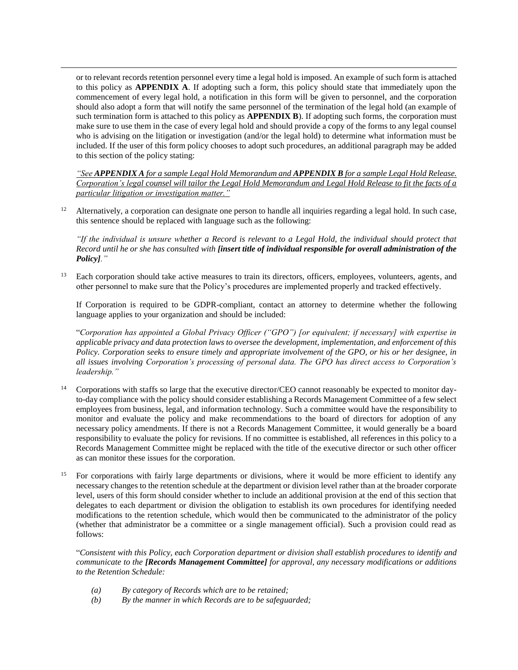or to relevant records retention personnel every time a legal hold is imposed. An example of such form is attached to this policy as **APPENDIX A**. If adopting such a form, this policy should state that immediately upon the commencement of every legal hold, a notification in this form will be given to personnel, and the corporation should also adopt a form that will notify the same personnel of the termination of the legal hold (an example of such termination form is attached to this policy as **APPENDIX B**). If adopting such forms, the corporation must make sure to use them in the case of every legal hold and should provide a copy of the forms to any legal counsel who is advising on the litigation or investigation (and/or the legal hold) to determine what information must be included. If the user of this form policy chooses to adopt such procedures, an additional paragraph may be added to this section of the policy stating:

 $\overline{a}$ 

*"See APPENDIX A for a sample Legal Hold Memorandum and APPENDIX B for a sample Legal Hold Release. Corporation's legal counsel will tailor the Legal Hold Memorandum and Legal Hold Release to fit the facts of a particular litigation or investigation matter."*

<span id="page-7-0"></span><sup>12</sup> Alternatively, a corporation can designate one person to handle all inquiries regarding a legal hold. In such case, this sentence should be replaced with language such as the following:

*"If the individual is unsure whether a Record is relevant to a Legal Hold, the individual should protect that Record until he or she has consulted with [insert title of individual responsible for overall administration of the Policy]."*

<span id="page-7-1"></span><sup>13</sup> Each corporation should take active measures to train its directors, officers, employees, volunteers, agents, and other personnel to make sure that the Policy's procedures are implemented properly and tracked effectively.

If Corporation is required to be GDPR-compliant, contact an attorney to determine whether the following language applies to your organization and should be included:

"*Corporation has appointed a Global Privacy Officer ("GPO") [or equivalent; if necessary] with expertise in applicable privacy and data protection laws to oversee the development, implementation, and enforcement of this Policy. Corporation seeks to ensure timely and appropriate involvement of the GPO, or his or her designee, in all issues involving Corporation's processing of personal data. The GPO has direct access to Corporation's leadership."*

- <span id="page-7-2"></span><sup>14</sup> Corporations with staffs so large that the executive director/CEO cannot reasonably be expected to monitor dayto-day compliance with the policy should consider establishing a Records Management Committee of a few select employees from business, legal, and information technology. Such a committee would have the responsibility to monitor and evaluate the policy and make recommendations to the board of directors for adoption of any necessary policy amendments. If there is not a Records Management Committee, it would generally be a board responsibility to evaluate the policy for revisions. If no committee is established, all references in this policy to a Records Management Committee might be replaced with the title of the executive director or such other officer as can monitor these issues for the corporation.
- <span id="page-7-3"></span><sup>15</sup> For corporations with fairly large departments or divisions, where it would be more efficient to identify any necessary changes to the retention schedule at the department or division level rather than at the broader corporate level, users of this form should consider whether to include an additional provision at the end of this section that delegates to each department or division the obligation to establish its own procedures for identifying needed modifications to the retention schedule, which would then be communicated to the administrator of the policy (whether that administrator be a committee or a single management official). Such a provision could read as follows:

"*Consistent with this Policy, each Corporation department or division shall establish procedures to identify and communicate to the [Records Management Committee] for approval, any necessary modifications or additions to the Retention Schedule:*

- *(a) By category of Records which are to be retained;*
- *(b) By the manner in which Records are to be safeguarded;*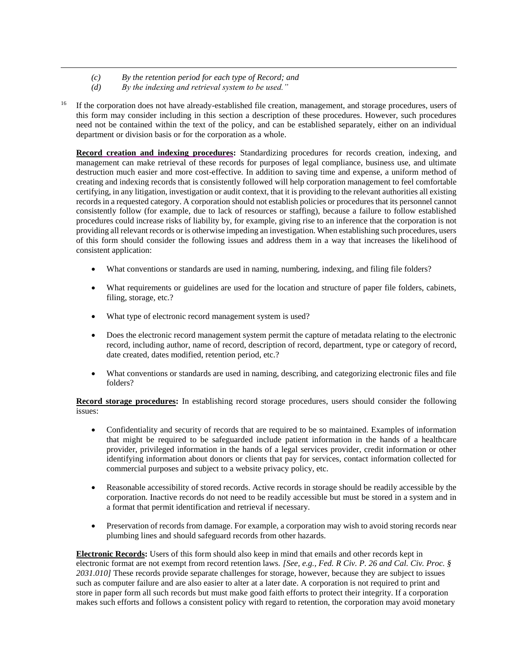- *(c) By the retention period for each type of Record; and*
- *(d) By the indexing and retrieval system to be used."*

 $\overline{a}$ 

<span id="page-8-0"></span><sup>16</sup> If the corporation does not have already-established file creation, management, and storage procedures, users of this form may consider including in this section a description of these procedures. However, such procedures need not be contained within the text of the policy, and can be established separately, either on an individual department or division basis or for the corporation as a whole.

**Record creation and indexing procedures:** Standardizing procedures for records creation, indexing, and management can make retrieval of these records for purposes of legal compliance, business use, and ultimate destruction much easier and more cost-effective. In addition to saving time and expense, a uniform method of creating and indexing records that is consistently followed will help corporation management to feel comfortable certifying, in any litigation, investigation or audit context, that it is providing to the relevant authorities all existing records in a requested category. A corporation should not establish policies or procedures that its personnel cannot consistently follow (for example, due to lack of resources or staffing), because a failure to follow established procedures could increase risks of liability by, for example, giving rise to an inference that the corporation is not providing all relevant records or is otherwise impeding an investigation. When establishing such procedures, users of this form should consider the following issues and address them in a way that increases the likelihood of consistent application:

- What conventions or standards are used in naming, numbering, indexing, and filing file folders?
- What requirements or guidelines are used for the location and structure of paper file folders, cabinets, filing, storage, etc.?
- What type of electronic record management system is used?
- Does the electronic record management system permit the capture of metadata relating to the electronic record, including author, name of record, description of record, department, type or category of record, date created, dates modified, retention period, etc.?
- What conventions or standards are used in naming, describing, and categorizing electronic files and file folders?

**Record storage procedures:** In establishing record storage procedures, users should consider the following issues:

- Confidentiality and security of records that are required to be so maintained. Examples of information that might be required to be safeguarded include patient information in the hands of a healthcare provider, privileged information in the hands of a legal services provider, credit information or other identifying information about donors or clients that pay for services, contact information collected for commercial purposes and subject to a website privacy policy, etc.
- Reasonable accessibility of stored records. Active records in storage should be readily accessible by the corporation. Inactive records do not need to be readily accessible but must be stored in a system and in a format that permit identification and retrieval if necessary.
- Preservation of records from damage. For example, a corporation may wish to avoid storing records near plumbing lines and should safeguard records from other hazards.

**Electronic Records:** Users of this form should also keep in mind that emails and other records kept in electronic format are not exempt from record retention laws. *[See, e.g., Fed. R Civ. P. 26 and Cal. Civ. Proc. § 2031.010]* These records provide separate challenges for storage, however, because they are subject to issues such as computer failure and are also easier to alter at a later date. A corporation is not required to print and store in paper form all such records but must make good faith efforts to protect their integrity. If a corporation makes such efforts and follows a consistent policy with regard to retention, the corporation may avoid monetary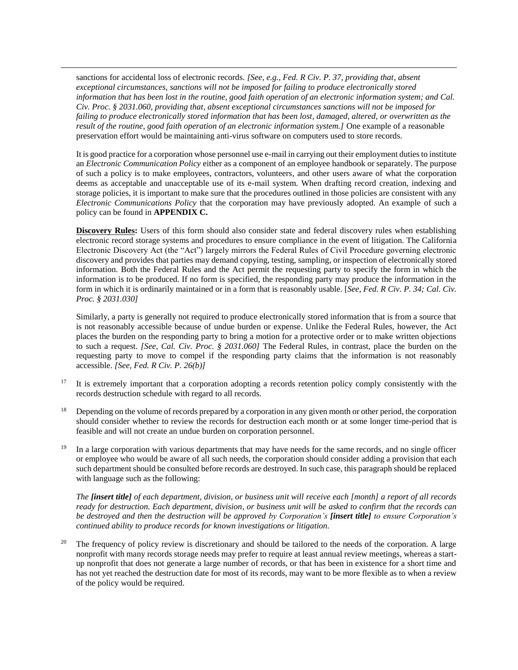sanctions for accidental loss of electronic records. *[See, e.g., Fed. R Civ. P. 37, providing that, absent exceptional circumstances, sanctions will not be imposed for failing to produce electronically stored information that has been lost in the routine, good faith operation of an electronic information system; and Cal. Civ. Proc. § 2031.060, providing that, absent exceptional circumstances sanctions will not be imposed for failing to produce electronically stored information that has been lost, damaged, altered, or overwritten as the result of the routine, good faith operation of an electronic information system.]* One example of a reasonable preservation effort would be maintaining anti-virus software on computers used to store records.

 $\overline{a}$ 

It is good practice for a corporation whose personnel use e-mail in carrying out their employment duties to institute an *Electronic Communication Policy* either as a component of an employee handbook or separately. The purpose of such a policy is to make employees, contractors, volunteers, and other users aware of what the corporation deems as acceptable and unacceptable use of its e-mail system. When drafting record creation, indexing and storage policies, it is important to make sure that the procedures outlined in those policies are consistent with any *Electronic Communications Policy* that the corporation may have previously adopted. An example of such a policy can be found in **APPENDIX C.** 

**Discovery Rules:** Users of this form should also consider state and federal discovery rules when establishing electronic record storage systems and procedures to ensure compliance in the event of litigation. The California Electronic Discovery Act (the "Act") largely mirrors the Federal Rules of Civil Procedure governing electronic discovery and provides that parties may demand copying, testing, sampling, or inspection of electronically stored information. Both the Federal Rules and the Act permit the requesting party to specify the form in which the information is to be produced. If no form is specified, the responding party may produce the information in the form in which it is ordinarily maintained or in a form that is reasonably usable. [*See, Fed. R Civ. P. 34; Cal. Civ. Proc. § 2031.030]*

Similarly, a party is generally not required to produce electronically stored information that is from a source that is not reasonably accessible because of undue burden or expense. Unlike the Federal Rules, however, the Act places the burden on the responding party to bring a motion for a protective order or to make written objections to such a request. *[See, Cal. Civ. Proc. § 2031.060]* The Federal Rules, in contrast, place the burden on the requesting party to move to compel if the responding party claims that the information is not reasonably accessible. *[See, Fed. R Civ. P. 26(b)]*

- <span id="page-9-0"></span><sup>17</sup> It is extremely important that a corporation adopting a records retention policy comply consistently with the records destruction schedule with regard to all records.
- <span id="page-9-1"></span><sup>18</sup> Depending on the volume of records prepared by a corporation in any given month or other period, the corporation should consider whether to review the records for destruction each month or at some longer time-period that is feasible and will not create an undue burden on corporation personnel.
- <span id="page-9-2"></span><sup>19</sup> In a large corporation with various departments that may have needs for the same records, and no single officer or employee who would be aware of all such needs, the corporation should consider adding a provision that each such department should be consulted before records are destroyed. In such case, this paragraph should be replaced with language such as the following:

*The [insert title] of each department, division, or business unit will receive each [month] a report of all records ready for destruction. Each department, division, or business unit will be asked to confirm that the records can be destroyed and then the destruction will be approved by Corporation's [insert title] to ensure Corporation's continued ability to produce records for known investigations or litigation.*

<span id="page-9-3"></span><sup>20</sup> The frequency of policy review is discretionary and should be tailored to the needs of the corporation. A large nonprofit with many records storage needs may prefer to require at least annual review meetings, whereas a startup nonprofit that does not generate a large number of records, or that has been in existence for a short time and has not yet reached the destruction date for most of its records, may want to be more flexible as to when a review of the policy would be required.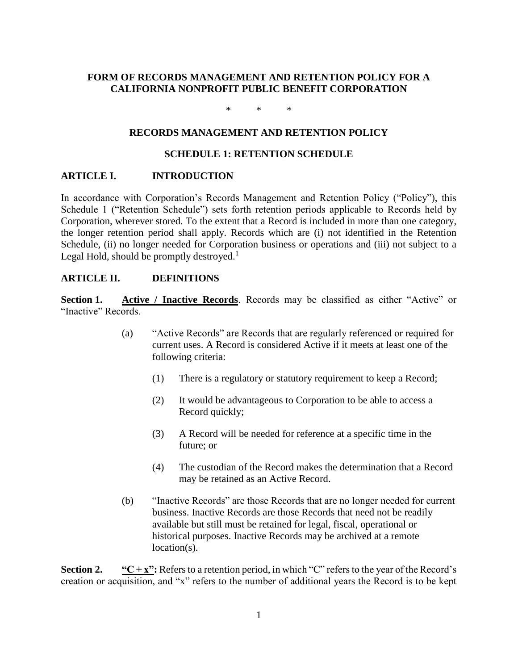## **FORM OF RECORDS MANAGEMENT AND RETENTION POLICY FOR A CALIFORNIA NONPROFIT PUBLIC BENEFIT CORPORATION**

\* \* \*

#### **RECORDS MANAGEMENT AND RETENTION POLICY**

#### **SCHEDULE 1: RETENTION SCHEDULE**

#### **ARTICLE I. INTRODUCTION**

In accordance with Corporation's Records Management and Retention Policy ("Policy"), this Schedule 1 ("Retention Schedule") sets forth retention periods applicable to Records held by Corporation, wherever stored. To the extent that a Record is included in more than one category, the longer retention period shall apply. Records which are (i) not identified in the Retention Schedule, (ii) no longer needed for Corporation business or operations and (iii) not subject to a Legal Hold, should be promptly destroyed.<sup>1</sup>

#### **ARTICLE II. DEFINITIONS**

**Section 1. Active / Inactive Records**. Records may be classified as either "Active" or "Inactive" Records.

- (a) "Active Records" are Records that are regularly referenced or required for current uses. A Record is considered Active if it meets at least one of the following criteria:
	- (1) There is a regulatory or statutory requirement to keep a Record;
	- (2) It would be advantageous to Corporation to be able to access a Record quickly;
	- (3) A Record will be needed for reference at a specific time in the future; or
	- (4) The custodian of the Record makes the determination that a Record may be retained as an Active Record.
- (b) "Inactive Records" are those Records that are no longer needed for current business. Inactive Records are those Records that need not be readily available but still must be retained for legal, fiscal, operational or historical purposes. Inactive Records may be archived at a remote location(s).

**Section 2. "C + x":** Refers to a retention period, in which "C" refers to the year of the Record's creation or acquisition, and "x" refers to the number of additional years the Record is to be kept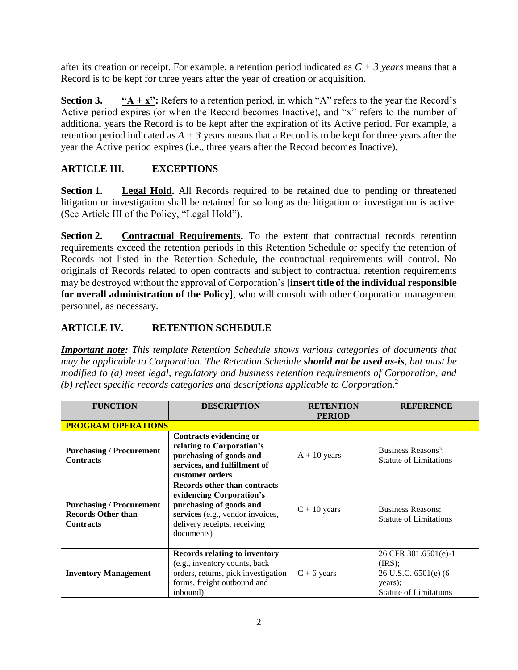after its creation or receipt. For example, a retention period indicated as *C + 3 years* means that a Record is to be kept for three years after the year of creation or acquisition.

**Section 3.**  $A + x''$ : Refers to a retention period, in which "A" refers to the year the Record's Active period expires (or when the Record becomes Inactive), and "x" refers to the number of additional years the Record is to be kept after the expiration of its Active period. For example, a retention period indicated as  $A + 3$  years means that a Record is to be kept for three years after the year the Active period expires (i.e., three years after the Record becomes Inactive).

# **ARTICLE III. EXCEPTIONS**

**Section 1. Legal Hold.** All Records required to be retained due to pending or threatened litigation or investigation shall be retained for so long as the litigation or investigation is active. (See Article III of the Policy, "Legal Hold").

**Section 2. Contractual Requirements.** To the extent that contractual records retention requirements exceed the retention periods in this Retention Schedule or specify the retention of Records not listed in the Retention Schedule, the contractual requirements will control. No originals of Records related to open contracts and subject to contractual retention requirements may be destroyed without the approval of Corporation's **[insert title of the individual responsible for overall administration of the Policy]**, who will consult with other Corporation management personnel, as necessary.

# **ARTICLE IV. RETENTION SCHEDULE**

*Important note: This template Retention Schedule shows various categories of documents that may be applicable to Corporation. The Retention Schedule should not be used as-is, but must be modified to (a) meet legal, regulatory and business retention requirements of Corporation, and (b) reflect specific records categories and descriptions applicable to Corporatio*n.<sup>2</sup>

| <b>FUNCTION</b>                                                                  | <b>DESCRIPTION</b>                                                                                                                                                    | <b>RETENTION</b><br><b>PERIOD</b> | <b>REFERENCE</b>                                                                                       |
|----------------------------------------------------------------------------------|-----------------------------------------------------------------------------------------------------------------------------------------------------------------------|-----------------------------------|--------------------------------------------------------------------------------------------------------|
| <b>PROGRAM OPERATIONS</b>                                                        |                                                                                                                                                                       |                                   |                                                                                                        |
| <b>Purchasing / Procurement</b><br><b>Contracts</b>                              | Contracts evidencing or<br>relating to Corporation's<br>purchasing of goods and<br>services, and fulfillment of<br>customer orders                                    | $A + 10$ years                    | Business Reasons <sup>3</sup> ;<br><b>Statute of Limitations</b>                                       |
| <b>Purchasing / Procurement</b><br><b>Records Other than</b><br><b>Contracts</b> | Records other than contracts<br>evidencing Corporation's<br>purchasing of goods and<br>services (e.g., vendor invoices,<br>delivery receipts, receiving<br>documents) | $C + 10$ years                    | <b>Business Reasons:</b><br><b>Statute of Limitations</b>                                              |
| <b>Inventory Management</b>                                                      | <b>Records relating to inventory</b><br>(e.g., inventory counts, back<br>orders, returns, pick investigation<br>forms, freight outbound and<br>inbound)               | $C + 6$ years                     | 26 CFR 301.6501(e)-1<br>(IRS);<br>$26$ U.S.C. $6501(e)$ (6<br>years);<br><b>Statute of Limitations</b> |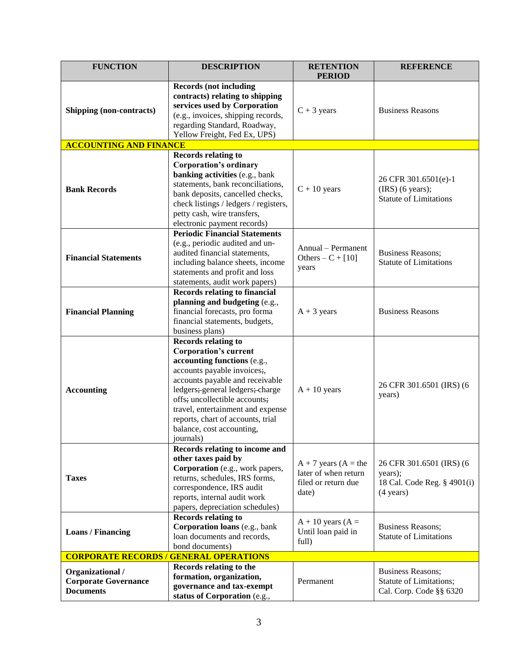| <b>FUNCTION</b>                                                     | <b>DESCRIPTION</b>                                                                                                                                                                                                                                                                                                                                  | <b>RETENTION</b><br><b>PERIOD</b>                                                | <b>REFERENCE</b>                                                                          |
|---------------------------------------------------------------------|-----------------------------------------------------------------------------------------------------------------------------------------------------------------------------------------------------------------------------------------------------------------------------------------------------------------------------------------------------|----------------------------------------------------------------------------------|-------------------------------------------------------------------------------------------|
| Shipping (non-contracts)                                            | <b>Records (not including</b><br>contracts) relating to shipping<br>services used by Corporation<br>(e.g., invoices, shipping records,<br>regarding Standard, Roadway,<br>Yellow Freight, Fed Ex, UPS)                                                                                                                                              | $C + 3$ years                                                                    | <b>Business Reasons</b>                                                                   |
| <b>ACCOUNTING AND FINANCE</b>                                       |                                                                                                                                                                                                                                                                                                                                                     |                                                                                  |                                                                                           |
| <b>Bank Records</b>                                                 | Records relating to<br><b>Corporation's ordinary</b><br>banking activities (e.g., bank<br>statements, bank reconciliations,<br>bank deposits, cancelled checks,<br>check listings / ledgers / registers,<br>petty cash, wire transfers,<br>electronic payment records)                                                                              | $C + 10$ years                                                                   | 26 CFR 301.6501(e)-1<br>$(IRS)$ (6 years);<br><b>Statute of Limitations</b>               |
| <b>Financial Statements</b>                                         | <b>Periodic Financial Statements</b><br>(e.g., periodic audited and un-<br>audited financial statements,<br>including balance sheets, income<br>statements and profit and loss<br>statements, audit work papers)                                                                                                                                    | Annual - Permanent<br>Others $-C + [10]$<br>years                                | <b>Business Reasons;</b><br><b>Statute of Limitations</b>                                 |
| <b>Financial Planning</b>                                           | <b>Records relating to financial</b><br>planning and budgeting (e.g.,<br>financial forecasts, pro forma<br>financial statements, budgets,<br>business plans)                                                                                                                                                                                        | $A + 3$ years                                                                    | <b>Business Reasons</b>                                                                   |
| <b>Accounting</b>                                                   | <b>Records relating to</b><br><b>Corporation's current</b><br>accounting functions (e.g.,<br>accounts payable invoices;<br>accounts payable and receivable<br>ledgers;-general ledgers;-charge<br>offs; uncollectible accounts;<br>travel, entertainment and expense<br>reports, chart of accounts, trial<br>balance, cost accounting,<br>journals) | $A + 10$ years                                                                   | 26 CFR 301.6501 (IRS) (6<br>years)                                                        |
| <b>Taxes</b>                                                        | Records relating to income and<br>other taxes paid by<br>Corporation (e.g., work papers,<br>returns, schedules, IRS forms,<br>correspondence, IRS audit<br>reports, internal audit work<br>papers, depreciation schedules)                                                                                                                          | $A + 7$ years $(A =$ the<br>later of when return<br>filed or return due<br>date) | 26 CFR 301.6501 (IRS) (6<br>years);<br>18 Cal. Code Reg. § 4901(i)<br>$(4 \text{ years})$ |
| <b>Loans / Financing</b>                                            | <b>Records relating to</b><br>Corporation loans (e.g., bank<br>loan documents and records,<br>bond documents)                                                                                                                                                                                                                                       | $A + 10$ years (A =<br>Until loan paid in<br>full)                               | <b>Business Reasons;</b><br><b>Statute of Limitations</b>                                 |
| <b>CORPORATE RECORDS/</b>                                           | <b>GENERAL OPERATIONS</b>                                                                                                                                                                                                                                                                                                                           |                                                                                  |                                                                                           |
| Organizational /<br><b>Corporate Governance</b><br><b>Documents</b> | Records relating to the<br>formation, organization,<br>governance and tax-exempt<br>status of Corporation (e.g.,                                                                                                                                                                                                                                    | Permanent                                                                        | <b>Business Reasons;</b><br>Statute of Limitations;<br>Cal. Corp. Code §§ 6320            |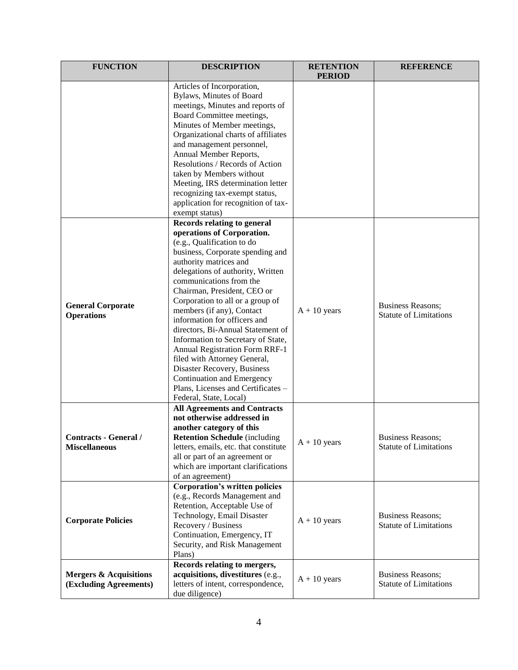| <b>FUNCTION</b>                                             | <b>DESCRIPTION</b>                                                                                                                                                                                                                                                                                                                                                                                                                                                                                                                                                                                                                            | <b>RETENTION</b><br><b>PERIOD</b> | <b>REFERENCE</b>                                          |
|-------------------------------------------------------------|-----------------------------------------------------------------------------------------------------------------------------------------------------------------------------------------------------------------------------------------------------------------------------------------------------------------------------------------------------------------------------------------------------------------------------------------------------------------------------------------------------------------------------------------------------------------------------------------------------------------------------------------------|-----------------------------------|-----------------------------------------------------------|
|                                                             | Articles of Incorporation,<br>Bylaws, Minutes of Board<br>meetings, Minutes and reports of<br>Board Committee meetings,<br>Minutes of Member meetings,<br>Organizational charts of affiliates<br>and management personnel,<br>Annual Member Reports,<br>Resolutions / Records of Action<br>taken by Members without<br>Meeting, IRS determination letter<br>recognizing tax-exempt status,<br>application for recognition of tax-<br>exempt status)                                                                                                                                                                                           |                                   |                                                           |
| <b>General Corporate</b><br><b>Operations</b>               | <b>Records relating to general</b><br>operations of Corporation.<br>(e.g., Qualification to do<br>business, Corporate spending and<br>authority matrices and<br>delegations of authority, Written<br>communications from the<br>Chairman, President, CEO or<br>Corporation to all or a group of<br>members (if any), Contact<br>information for officers and<br>directors, Bi-Annual Statement of<br>Information to Secretary of State,<br><b>Annual Registration Form RRF-1</b><br>filed with Attorney General,<br>Disaster Recovery, Business<br>Continuation and Emergency<br>Plans, Licenses and Certificates -<br>Federal, State, Local) | $A + 10$ years                    | <b>Business Reasons;</b><br><b>Statute of Limitations</b> |
| Contracts - General /<br><b>Miscellaneous</b>               | <b>All Agreements and Contracts</b><br>not otherwise addressed in<br>another category of this<br><b>Retention Schedule</b> (including<br>letters, emails, etc. that constitute<br>all or part of an agreement or<br>which are important clarifications<br>of an agreement)                                                                                                                                                                                                                                                                                                                                                                    | $A + 10$ years                    | <b>Business Reasons:</b><br><b>Statute of Limitations</b> |
| <b>Corporate Policies</b>                                   | <b>Corporation's written policies</b><br>(e.g., Records Management and<br>Retention, Acceptable Use of<br>Technology, Email Disaster<br>Recovery / Business<br>Continuation, Emergency, IT<br>Security, and Risk Management<br>Plans)                                                                                                                                                                                                                                                                                                                                                                                                         | $A + 10$ years                    | <b>Business Reasons;</b><br><b>Statute of Limitations</b> |
| <b>Mergers &amp; Acquisitions</b><br>(Excluding Agreements) | Records relating to mergers,<br>acquisitions, divestitures (e.g.,<br>letters of intent, correspondence,<br>due diligence)                                                                                                                                                                                                                                                                                                                                                                                                                                                                                                                     | $A + 10$ years                    | <b>Business Reasons;</b><br><b>Statute of Limitations</b> |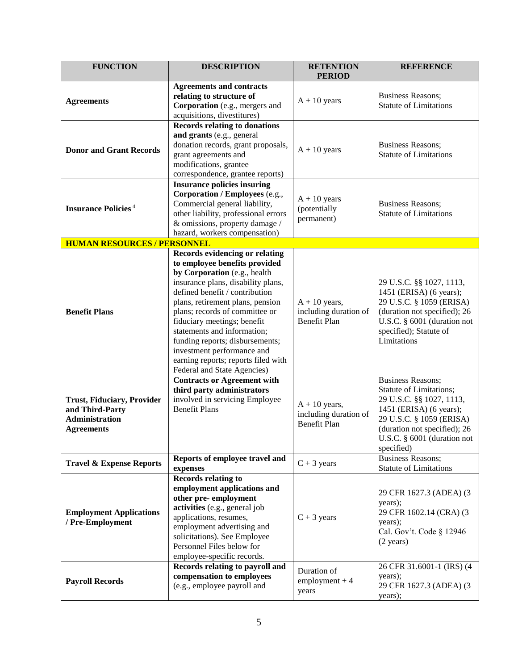| <b>FUNCTION</b>                                                                      | <b>DESCRIPTION</b>                                                                                                                                                                                                                                                                                                                                                                                                                                                                              | <b>RETENTION</b><br><b>PERIOD</b>                               | <b>REFERENCE</b>                                                                                                                                                                                                    |
|--------------------------------------------------------------------------------------|-------------------------------------------------------------------------------------------------------------------------------------------------------------------------------------------------------------------------------------------------------------------------------------------------------------------------------------------------------------------------------------------------------------------------------------------------------------------------------------------------|-----------------------------------------------------------------|---------------------------------------------------------------------------------------------------------------------------------------------------------------------------------------------------------------------|
| <b>Agreements</b>                                                                    | <b>Agreements and contracts</b><br>relating to structure of<br>Corporation (e.g., mergers and<br>acquisitions, divestitures)                                                                                                                                                                                                                                                                                                                                                                    | $A + 10$ years                                                  | <b>Business Reasons;</b><br><b>Statute of Limitations</b>                                                                                                                                                           |
| <b>Donor and Grant Records</b>                                                       | <b>Records relating to donations</b><br>and grants (e.g., general<br>donation records, grant proposals,<br>grant agreements and<br>modifications, grantee<br>correspondence, grantee reports)                                                                                                                                                                                                                                                                                                   | $A + 10$ years                                                  | <b>Business Reasons;</b><br><b>Statute of Limitations</b>                                                                                                                                                           |
| <b>Insurance Policies</b> <sup>4</sup>                                               | <b>Insurance policies insuring</b><br>Corporation / Employees (e.g.,<br>Commercial general liability,<br>other liability, professional errors<br>& omissions, property damage /<br>hazard, workers compensation)                                                                                                                                                                                                                                                                                | $A + 10$ years<br>(potentially<br>permanent)                    | <b>Business Reasons;</b><br><b>Statute of Limitations</b>                                                                                                                                                           |
| <b>HUMAN RESOURCES / PERSONNEL</b>                                                   |                                                                                                                                                                                                                                                                                                                                                                                                                                                                                                 |                                                                 |                                                                                                                                                                                                                     |
| <b>Benefit Plans</b>                                                                 | <b>Records evidencing or relating</b><br>to employee benefits provided<br>by Corporation (e.g., health<br>insurance plans, disability plans,<br>defined benefit / contribution<br>plans, retirement plans, pension<br>plans; records of committee or<br>fiduciary meetings; benefit<br>statements and information;<br>funding reports; disbursements;<br>investment performance and<br>earning reports; reports filed with<br>Federal and State Agencies)<br><b>Contracts or Agreement with</b> | $A + 10$ years,<br>including duration of<br>Benefit Plan        | 29 U.S.C. §§ 1027, 1113,<br>1451 (ERISA) (6 years);<br>29 U.S.C. § 1059 (ERISA)<br>(duration not specified); 26<br>U.S.C. § 6001 (duration not<br>specified); Statute of<br>Limitations<br><b>Business Reasons;</b> |
| Trust, Fiduciary, Provider<br>and Third-Party<br>Administration<br><b>Agreements</b> | third party administrators<br>involved in servicing Employee<br><b>Benefit Plans</b>                                                                                                                                                                                                                                                                                                                                                                                                            | $A + 10$ years,<br>including duration of<br><b>Benefit Plan</b> | Statute of Limitations;<br>29 U.S.C. §§ 1027, 1113,<br>1451 (ERISA) (6 years);<br>29 U.S.C. § 1059 (ERISA)<br>(duration not specified); 26<br>U.S.C. § 6001 (duration not<br>specified)                             |
| <b>Travel &amp; Expense Reports</b>                                                  | Reports of employee travel and<br>expenses                                                                                                                                                                                                                                                                                                                                                                                                                                                      | $C + 3$ years                                                   | <b>Business Reasons;</b><br><b>Statute of Limitations</b>                                                                                                                                                           |
| <b>Employment Applications</b><br>/ Pre-Employment                                   | Records relating to<br>employment applications and<br>other pre-employment<br>activities (e.g., general job<br>applications, resumes,<br>employment advertising and<br>solicitations). See Employee<br>Personnel Files below for<br>employee-specific records.<br>Records relating to payroll and                                                                                                                                                                                               | $C + 3$ years                                                   | 29 CFR 1627.3 (ADEA) (3<br>years);<br>29 CFR 1602.14 (CRA) (3<br>years);<br>Cal. Gov't. Code § 12946<br>$(2 \text{ years})$<br>26 CFR 31.6001-1 (IRS) (4                                                            |
| <b>Payroll Records</b>                                                               | compensation to employees<br>(e.g., employee payroll and                                                                                                                                                                                                                                                                                                                                                                                                                                        | Duration of<br>$employment + 4$<br>years                        | years);<br>29 CFR 1627.3 (ADEA) (3<br>years);                                                                                                                                                                       |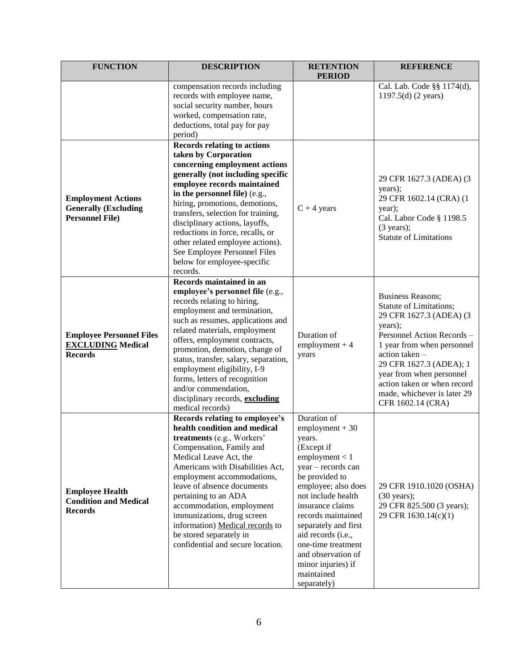| <b>FUNCTION</b>                                                                    | <b>DESCRIPTION</b>                                                                                                                                                                                                                                                                                                                                                                                                                                            | <b>RETENTION</b><br><b>PERIOD</b>                                                                                                                                                                                                                                                                                                                      | <b>REFERENCE</b>                                                                                                                                                                                                                                                                                                 |
|------------------------------------------------------------------------------------|---------------------------------------------------------------------------------------------------------------------------------------------------------------------------------------------------------------------------------------------------------------------------------------------------------------------------------------------------------------------------------------------------------------------------------------------------------------|--------------------------------------------------------------------------------------------------------------------------------------------------------------------------------------------------------------------------------------------------------------------------------------------------------------------------------------------------------|------------------------------------------------------------------------------------------------------------------------------------------------------------------------------------------------------------------------------------------------------------------------------------------------------------------|
|                                                                                    | compensation records including<br>records with employee name,<br>social security number, hours<br>worked, compensation rate,<br>deductions, total pay for pay<br>period)                                                                                                                                                                                                                                                                                      |                                                                                                                                                                                                                                                                                                                                                        | Cal. Lab. Code §§ 1174(d),<br>$1197.5(d)$ (2 years)                                                                                                                                                                                                                                                              |
| <b>Employment Actions</b><br><b>Generally (Excluding</b><br><b>Personnel File)</b> | <b>Records relating to actions</b><br>taken by Corporation<br>concerning employment actions<br>generally (not including specific<br>employee records maintained<br>in the personnel file) (e.g.,<br>hiring, promotions, demotions,<br>transfers, selection for training,<br>disciplinary actions, layoffs,<br>reductions in force, recalls, or<br>other related employee actions).<br>See Employee Personnel Files<br>below for employee-specific<br>records. | $C + 4$ years                                                                                                                                                                                                                                                                                                                                          | 29 CFR 1627.3 (ADEA) (3<br>years);<br>29 CFR 1602.14 (CRA) (1<br>year);<br>Cal. Labor Code § 1198.5<br>(3 years);<br><b>Statute of Limitations</b>                                                                                                                                                               |
| <b>Employee Personnel Files</b><br><b>EXCLUDING Medical</b><br><b>Records</b>      | Records maintained in an<br>employee's personnel file (e.g.,<br>records relating to hiring,<br>employment and termination,<br>such as resumes, applications and<br>related materials, employment<br>offers, employment contracts,<br>promotion, demotion, change of<br>status, transfer, salary, separation,<br>employment eligibility, I-9<br>forms, letters of recognition<br>and/or commendation,<br>disciplinary records, excluding<br>medical records)   | Duration of<br>$employment + 4$<br>years                                                                                                                                                                                                                                                                                                               | <b>Business Reasons;</b><br>Statute of Limitations;<br>29 CFR 1627.3 (ADEA) (3<br>years);<br>Personnel Action Records-<br>1 year from when personnel<br>action taken -<br>29 CFR 1627.3 (ADEA); 1<br>year from when personnel<br>action taken or when record<br>made, whichever is later 29<br>CFR 1602.14 (CRA) |
| <b>Employee Health</b><br><b>Condition and Medical</b><br><b>Records</b>           | Records relating to employee's<br>health condition and medical<br>treatments (e.g., Workers'<br>Compensation, Family and<br>Medical Leave Act, the<br>Americans with Disabilities Act,<br>employment accommodations,<br>leave of absence documents<br>pertaining to an ADA<br>accommodation, employment<br>immunizations, drug screen<br>information) Medical records to<br>be stored separately in<br>confidential and secure location.                      | Duration of<br>$employment + 30$<br>years.<br>(Except if<br>employment < 1<br>year - records can<br>be provided to<br>employee; also does<br>not include health<br>insurance claims<br>records maintained<br>separately and first<br>aid records (i.e.,<br>one-time treatment<br>and observation of<br>minor injuries) if<br>maintained<br>separately) | 29 CFR 1910.1020 (OSHA)<br>$(30 \text{ years});$<br>29 CFR 825.500 (3 years);<br>29 CFR 1630.14(c)(1)                                                                                                                                                                                                            |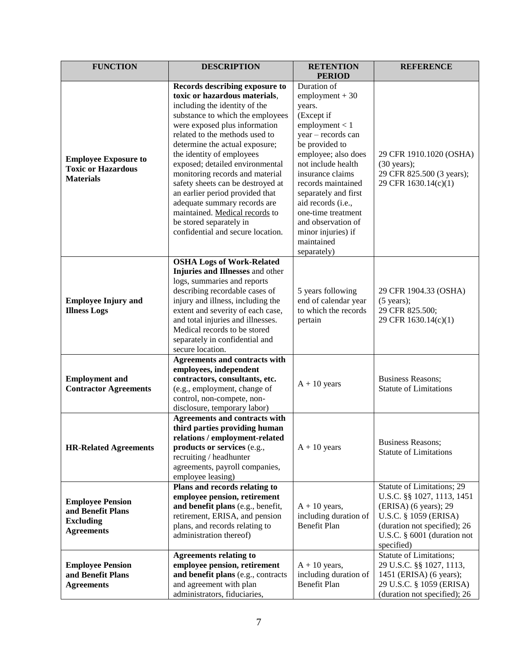| <b>FUNCTION</b>              | <b>DESCRIPTION</b>                                      | <b>RETENTION</b><br><b>PERIOD</b> | <b>REFERENCE</b>              |
|------------------------------|---------------------------------------------------------|-----------------------------------|-------------------------------|
|                              | Records describing exposure to                          | Duration of                       |                               |
|                              | toxic or hazardous materials,                           | $employment + 30$                 |                               |
|                              | including the identity of the                           | years.                            |                               |
|                              | substance to which the employees                        | (Except if                        |                               |
|                              | were exposed plus information                           | employment < 1                    |                               |
|                              | related to the methods used to                          | year - records can                |                               |
|                              | determine the actual exposure;                          | be provided to                    |                               |
|                              | the identity of employees                               | employee; also does               | 29 CFR 1910.1020 (OSHA)       |
| <b>Employee Exposure to</b>  | exposed; detailed environmental                         | not include health                | $(30 \text{ years})$ ;        |
| <b>Toxic or Hazardous</b>    | monitoring records and material                         | insurance claims                  | 29 CFR 825.500 (3 years);     |
| <b>Materials</b>             | safety sheets can be destroyed at                       | records maintained                | 29 CFR 1630.14(c)(1)          |
|                              | an earlier period provided that                         | separately and first              |                               |
|                              | adequate summary records are                            | aid records (i.e.,                |                               |
|                              | maintained. Medical records to                          | one-time treatment                |                               |
|                              | be stored separately in                                 | and observation of                |                               |
|                              | confidential and secure location.                       | minor injuries) if                |                               |
|                              |                                                         | maintained                        |                               |
|                              |                                                         | separately)                       |                               |
|                              | <b>OSHA Logs of Work-Related</b>                        |                                   |                               |
|                              | Injuries and Illnesses and other                        |                                   |                               |
|                              | logs, summaries and reports                             |                                   |                               |
|                              | describing recordable cases of                          | 5 years following                 | 29 CFR 1904.33 (OSHA)         |
| <b>Employee Injury and</b>   | injury and illness, including the                       | end of calendar year              | $(5 \text{ years})$ ;         |
| <b>Illness Logs</b>          | extent and severity of each case,                       | to which the records              | 29 CFR 825.500;               |
|                              | and total injuries and illnesses.                       | pertain                           | 29 CFR 1630.14(c)(1)          |
|                              | Medical records to be stored                            |                                   |                               |
|                              | separately in confidential and                          |                                   |                               |
|                              | secure location.                                        |                                   |                               |
|                              | Agreements and contracts with<br>employees, independent |                                   |                               |
| <b>Employment and</b>        | contractors, consultants, etc.                          |                                   | <b>Business Reasons;</b>      |
| <b>Contractor Agreements</b> | (e.g., employment, change of                            | $A + 10$ years                    | <b>Statute of Limitations</b> |
|                              | control, non-compete, non-                              |                                   |                               |
|                              | disclosure, temporary labor)                            |                                   |                               |
|                              | Agreements and contracts with                           |                                   |                               |
|                              | third parties providing human                           |                                   |                               |
|                              | relations / employment-related                          |                                   |                               |
| <b>HR-Related Agreements</b> | products or services (e.g.,                             | $A + 10$ years                    | <b>Business Reasons;</b>      |
|                              | recruiting / headhunter                                 |                                   | <b>Statute of Limitations</b> |
|                              | agreements, payroll companies,                          |                                   |                               |
|                              | employee leasing)                                       |                                   |                               |
|                              | Plans and records relating to                           |                                   | Statute of Limitations; 29    |
| <b>Employee Pension</b>      | employee pension, retirement                            |                                   | U.S.C. §§ 1027, 1113, 1451    |
| and Benefit Plans            | and benefit plans (e.g., benefit,                       | $A + 10$ years,                   | (ERISA) (6 years); 29         |
| <b>Excluding</b>             | retirement, ERISA, and pension                          | including duration of             | U.S.C. § 1059 (ERISA)         |
| <b>Agreements</b>            | plans, and records relating to                          | <b>Benefit Plan</b>               | (duration not specified); 26  |
|                              | administration thereof)                                 |                                   | U.S.C. § 6001 (duration not   |
|                              |                                                         |                                   | specified)                    |
|                              | <b>Agreements relating to</b>                           |                                   | Statute of Limitations;       |
| <b>Employee Pension</b>      | employee pension, retirement                            | $A + 10$ years,                   | 29 U.S.C. §§ 1027, 1113,      |
| and Benefit Plans            | and benefit plans (e.g., contracts                      | including duration of             | 1451 (ERISA) (6 years);       |
| <b>Agreements</b>            | and agreement with plan                                 | <b>Benefit Plan</b>               | 29 U.S.C. § 1059 (ERISA)      |
|                              | administrators, fiduciaries,                            |                                   | (duration not specified); 26  |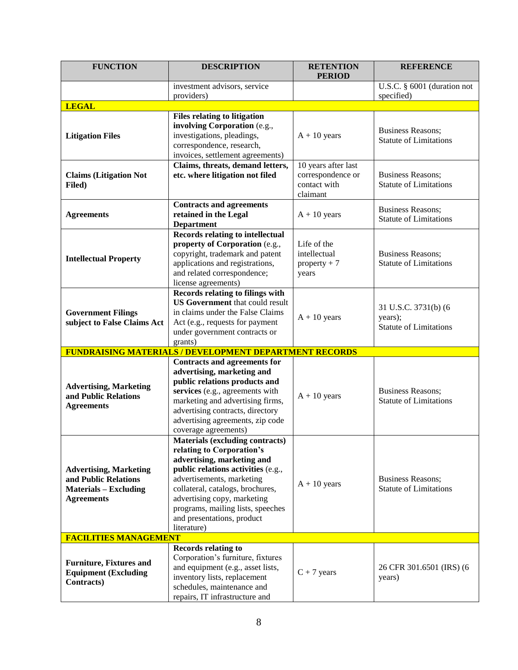| <b>FUNCTION</b>                                                                                            | <b>DESCRIPTION</b>                                                                                                                                                                                                                                                                                                        | <b>RETENTION</b><br><b>PERIOD</b>                                    | <b>REFERENCE</b>                                                 |
|------------------------------------------------------------------------------------------------------------|---------------------------------------------------------------------------------------------------------------------------------------------------------------------------------------------------------------------------------------------------------------------------------------------------------------------------|----------------------------------------------------------------------|------------------------------------------------------------------|
|                                                                                                            | investment advisors, service                                                                                                                                                                                                                                                                                              |                                                                      | U.S.C. § 6001 (duration not                                      |
|                                                                                                            | providers)                                                                                                                                                                                                                                                                                                                |                                                                      | specified)                                                       |
| <b>LEGAL</b>                                                                                               |                                                                                                                                                                                                                                                                                                                           |                                                                      |                                                                  |
| <b>Litigation Files</b>                                                                                    | <b>Files relating to litigation</b><br>involving Corporation (e.g.,<br>investigations, pleadings,<br>correspondence, research,<br>invoices, settlement agreements)                                                                                                                                                        | $A + 10$ years                                                       | <b>Business Reasons;</b><br><b>Statute of Limitations</b>        |
| <b>Claims (Litigation Not</b><br>Filed)                                                                    | Claims, threats, demand letters,<br>etc. where litigation not filed                                                                                                                                                                                                                                                       | 10 years after last<br>correspondence or<br>contact with<br>claimant | <b>Business Reasons;</b><br><b>Statute of Limitations</b>        |
| <b>Agreements</b>                                                                                          | <b>Contracts and agreements</b><br>retained in the Legal<br><b>Department</b>                                                                                                                                                                                                                                             | $A + 10$ years                                                       | <b>Business Reasons;</b><br><b>Statute of Limitations</b>        |
| <b>Intellectual Property</b>                                                                               | <b>Records relating to intellectual</b><br>property of Corporation (e.g.,<br>copyright, trademark and patent<br>applications and registrations,<br>and related correspondence;<br>license agreements)                                                                                                                     | Life of the<br>intellectual<br>$property + 7$<br>years               | <b>Business Reasons;</b><br><b>Statute of Limitations</b>        |
| <b>Government Filings</b><br>subject to False Claims Act                                                   | Records relating to filings with<br><b>US Government</b> that could result<br>in claims under the False Claims<br>Act (e.g., requests for payment<br>under government contracts or<br>grants)                                                                                                                             | $A + 10$ years                                                       | 31 U.S.C. 3731(b) (6<br>years);<br><b>Statute of Limitations</b> |
|                                                                                                            | <b>FUNDRAISING MATERIALS / DEVELOPMENT DEPARTMENT RECORDS</b>                                                                                                                                                                                                                                                             |                                                                      |                                                                  |
| <b>Advertising, Marketing</b><br>and Public Relations<br><b>Agreements</b>                                 | <b>Contracts and agreements for</b><br>advertising, marketing and<br>public relations products and<br>services (e.g., agreements with<br>marketing and advertising firms,<br>advertising contracts, directory<br>advertising agreements, zip code<br>coverage agreements)                                                 | $A + 10$ years                                                       | <b>Business Reasons;</b><br><b>Statute of Limitations</b>        |
| <b>Advertising, Marketing</b><br>and Public Relations<br><b>Materials – Excluding</b><br><b>Agreements</b> | <b>Materials (excluding contracts)</b><br>relating to Corporation's<br>advertising, marketing and<br>public relations activities (e.g.,<br>advertisements, marketing<br>collateral, catalogs, brochures,<br>advertising copy, marketing<br>programs, mailing lists, speeches<br>and presentations, product<br>literature) | $A + 10$ years                                                       | <b>Business Reasons;</b><br><b>Statute of Limitations</b>        |
| <b>FACILITIES MANAGEMENT</b>                                                                               |                                                                                                                                                                                                                                                                                                                           |                                                                      |                                                                  |
| <b>Furniture, Fixtures and</b><br><b>Equipment (Excluding</b><br><b>Contracts</b> )                        | <b>Records relating to</b><br>Corporation's furniture, fixtures<br>and equipment (e.g., asset lists,<br>inventory lists, replacement<br>schedules, maintenance and<br>repairs, IT infrastructure and                                                                                                                      | $C + 7$ years                                                        | 26 CFR 301.6501 (IRS) (6<br>years)                               |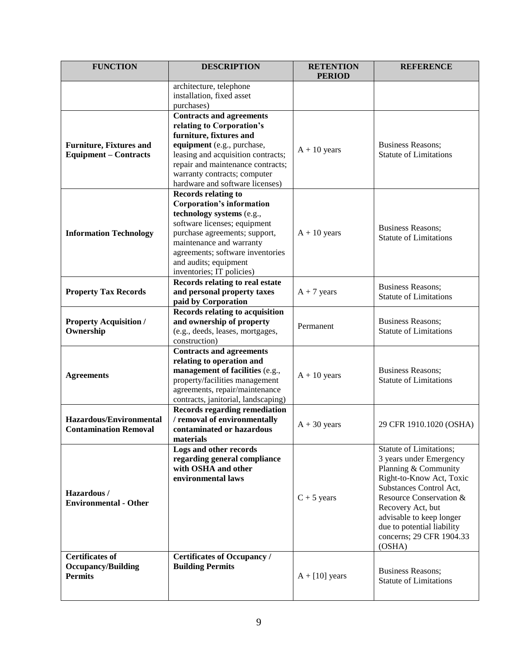| <b>FUNCTION</b>                                                       | <b>DESCRIPTION</b>                                                                                                                                                                                                                                                                 | <b>RETENTION</b><br><b>PERIOD</b> | <b>REFERENCE</b>                                                                                                                                                                                                                                                                  |
|-----------------------------------------------------------------------|------------------------------------------------------------------------------------------------------------------------------------------------------------------------------------------------------------------------------------------------------------------------------------|-----------------------------------|-----------------------------------------------------------------------------------------------------------------------------------------------------------------------------------------------------------------------------------------------------------------------------------|
|                                                                       | architecture, telephone<br>installation, fixed asset<br>purchases)                                                                                                                                                                                                                 |                                   |                                                                                                                                                                                                                                                                                   |
| <b>Furniture, Fixtures and</b><br><b>Equipment – Contracts</b>        | <b>Contracts and agreements</b><br>relating to Corporation's<br>furniture, fixtures and<br>equipment (e.g., purchase,<br>leasing and acquisition contracts;<br>repair and maintenance contracts;<br>warranty contracts; computer<br>hardware and software licenses)                | $A + 10$ years                    | <b>Business Reasons;</b><br><b>Statute of Limitations</b>                                                                                                                                                                                                                         |
| <b>Information Technology</b>                                         | <b>Records relating to</b><br><b>Corporation's information</b><br>technology systems (e.g.,<br>software licenses; equipment<br>purchase agreements; support,<br>maintenance and warranty<br>agreements; software inventories<br>and audits; equipment<br>inventories; IT policies) | $A + 10$ years                    | <b>Business Reasons;</b><br><b>Statute of Limitations</b>                                                                                                                                                                                                                         |
| <b>Property Tax Records</b>                                           | Records relating to real estate<br>and personal property taxes<br>paid by Corporation                                                                                                                                                                                              | $A + 7$ years                     | <b>Business Reasons;</b><br><b>Statute of Limitations</b>                                                                                                                                                                                                                         |
| <b>Property Acquisition /</b><br>Ownership                            | Records relating to acquisition<br>and ownership of property<br>(e.g., deeds, leases, mortgages,<br>construction)                                                                                                                                                                  | Permanent                         | <b>Business Reasons;</b><br><b>Statute of Limitations</b>                                                                                                                                                                                                                         |
| <b>Agreements</b>                                                     | <b>Contracts and agreements</b><br>relating to operation and<br>management of facilities (e.g.,<br>property/facilities management<br>agreements, repair/maintenance<br>contracts, janitorial, landscaping)                                                                         | $A + 10$ years                    | <b>Business Reasons;</b><br><b>Statute of Limitations</b>                                                                                                                                                                                                                         |
| <b>Hazardous/Environmental</b><br><b>Contamination Removal</b>        | <b>Records regarding remediation</b><br>/ removal of environmentally<br>contaminated or hazardous<br>materials                                                                                                                                                                     | $A + 30$ years                    | 29 CFR 1910.1020 (OSHA)                                                                                                                                                                                                                                                           |
| Hazardous/<br><b>Environmental - Other</b>                            | Logs and other records<br>regarding general compliance<br>with OSHA and other<br>environmental laws                                                                                                                                                                                | $C + 5$ years                     | Statute of Limitations;<br>3 years under Emergency<br>Planning & Community<br>Right-to-Know Act, Toxic<br>Substances Control Act,<br>Resource Conservation &<br>Recovery Act, but<br>advisable to keep longer<br>due to potential liability<br>concerns; 29 CFR 1904.33<br>(OSHA) |
| <b>Certificates of</b><br><b>Occupancy/Building</b><br><b>Permits</b> | <b>Certificates of Occupancy /</b><br><b>Building Permits</b>                                                                                                                                                                                                                      | $A + [10]$ years                  | <b>Business Reasons;</b><br><b>Statute of Limitations</b>                                                                                                                                                                                                                         |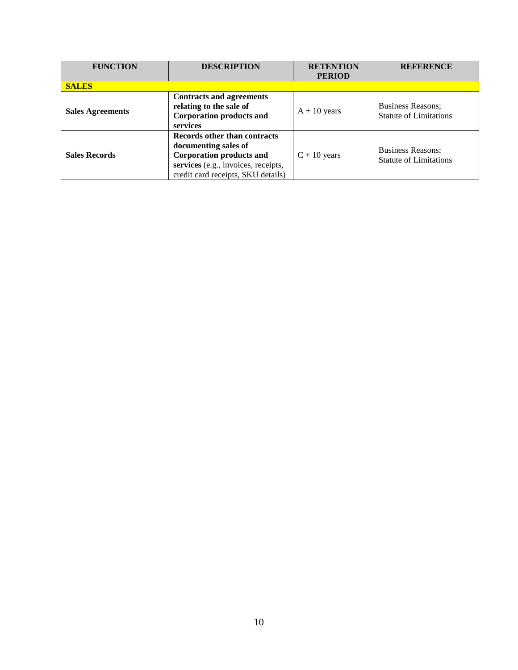| <b>FUNCTION</b>         | <b>DESCRIPTION</b>                                                                                                                                                   | <b>RETENTION</b> | <b>REFERENCE</b>                                          |
|-------------------------|----------------------------------------------------------------------------------------------------------------------------------------------------------------------|------------------|-----------------------------------------------------------|
|                         |                                                                                                                                                                      | <b>PERIOD</b>    |                                                           |
| <b>SALES</b>            |                                                                                                                                                                      |                  |                                                           |
| <b>Sales Agreements</b> | <b>Contracts and agreements</b><br>relating to the sale of<br><b>Corporation products and</b><br>services                                                            | $A + 10$ years   | <b>Business Reasons:</b><br><b>Statute of Limitations</b> |
| <b>Sales Records</b>    | Records other than contracts<br>documenting sales of<br><b>Corporation products and</b><br>services (e.g., invoices, receipts,<br>credit card receipts, SKU details) | $C + 10$ years   | <b>Business Reasons;</b><br><b>Statute of Limitations</b> |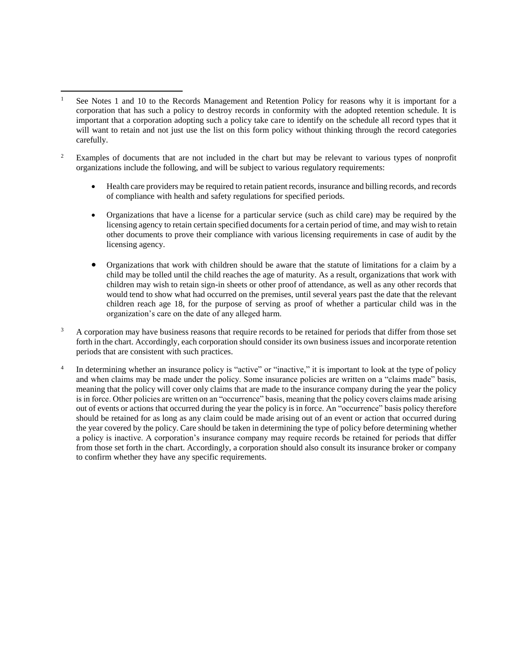$\overline{a}$ 

- <sup>2</sup> Examples of documents that are not included in the chart but may be relevant to various types of nonprofit organizations include the following, and will be subject to various regulatory requirements:
	- Health care providers may be required to retain patient records, insurance and billing records, and records of compliance with health and safety regulations for specified periods.
	- Organizations that have a license for a particular service (such as child care) may be required by the licensing agency to retain certain specified documents for a certain period of time, and may wish to retain other documents to prove their compliance with various licensing requirements in case of audit by the licensing agency.
	- Organizations that work with children should be aware that the statute of limitations for a claim by a child may be tolled until the child reaches the age of maturity. As a result, organizations that work with children may wish to retain sign-in sheets or other proof of attendance, as well as any other records that would tend to show what had occurred on the premises, until several years past the date that the relevant children reach age 18, for the purpose of serving as proof of whether a particular child was in the organization's care on the date of any alleged harm.
- <sup>3</sup> A corporation may have business reasons that require records to be retained for periods that differ from those set forth in the chart. Accordingly, each corporation should consider its own business issues and incorporate retention periods that are consistent with such practices.
- 4 In determining whether an insurance policy is "active" or "inactive," it is important to look at the type of policy and when claims may be made under the policy. Some insurance policies are written on a "claims made" basis, meaning that the policy will cover only claims that are made to the insurance company during the year the policy is in force. Other policies are written on an "occurrence" basis, meaning that the policy covers claims made arising out of events or actions that occurred during the year the policy is in force. An "occurrence" basis policy therefore should be retained for as long as any claim could be made arising out of an event or action that occurred during the year covered by the policy. Care should be taken in determining the type of policy before determining whether a policy is inactive. A corporation's insurance company may require records be retained for periods that differ from those set forth in the chart. Accordingly, a corporation should also consult its insurance broker or company to confirm whether they have any specific requirements.

See Notes 1 and 10 to the Records Management and Retention Policy for reasons why it is important for a corporation that has such a policy to destroy records in conformity with the adopted retention schedule. It is important that a corporation adopting such a policy take care to identify on the schedule all record types that it will want to retain and not just use the list on this form policy without thinking through the record categories carefully.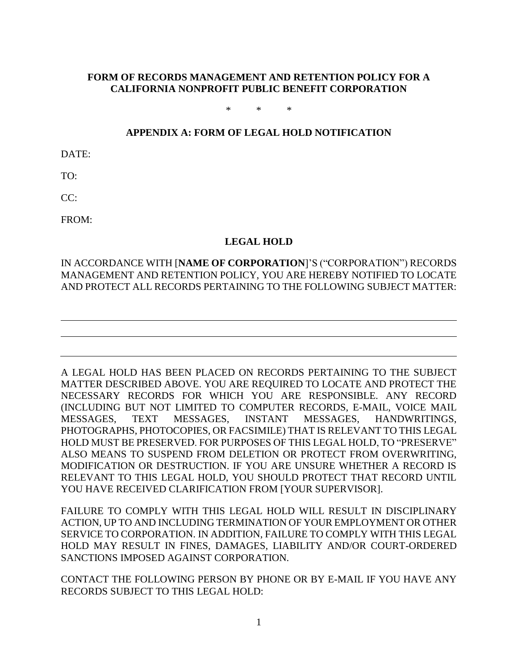### **FORM OF RECORDS MANAGEMENT AND RETENTION POLICY FOR A CALIFORNIA NONPROFIT PUBLIC BENEFIT CORPORATION**

\* \* \*

#### **APPENDIX A: FORM OF LEGAL HOLD NOTIFICATION**

DATE:

TO:

CC:

FROM:

#### **LEGAL HOLD**

## IN ACCORDANCE WITH [**NAME OF CORPORATION**]'S ("CORPORATION") RECORDS MANAGEMENT AND RETENTION POLICY, YOU ARE HEREBY NOTIFIED TO LOCATE AND PROTECT ALL RECORDS PERTAINING TO THE FOLLOWING SUBJECT MATTER:

A LEGAL HOLD HAS BEEN PLACED ON RECORDS PERTAINING TO THE SUBJECT MATTER DESCRIBED ABOVE. YOU ARE REQUIRED TO LOCATE AND PROTECT THE NECESSARY RECORDS FOR WHICH YOU ARE RESPONSIBLE. ANY RECORD (INCLUDING BUT NOT LIMITED TO COMPUTER RECORDS, E-MAIL, VOICE MAIL MESSAGES, TEXT MESSAGES, INSTANT MESSAGES, HANDWRITINGS, PHOTOGRAPHS, PHOTOCOPIES, OR FACSIMILE) THAT IS RELEVANT TO THIS LEGAL HOLD MUST BE PRESERVED. FOR PURPOSES OF THIS LEGAL HOLD, TO "PRESERVE" ALSO MEANS TO SUSPEND FROM DELETION OR PROTECT FROM OVERWRITING, MODIFICATION OR DESTRUCTION. IF YOU ARE UNSURE WHETHER A RECORD IS RELEVANT TO THIS LEGAL HOLD, YOU SHOULD PROTECT THAT RECORD UNTIL YOU HAVE RECEIVED CLARIFICATION FROM [YOUR SUPERVISOR].

FAILURE TO COMPLY WITH THIS LEGAL HOLD WILL RESULT IN DISCIPLINARY ACTION, UP TO AND INCLUDING TERMINATION OF YOUR EMPLOYMENT OR OTHER SERVICE TO CORPORATION. IN ADDITION, FAILURE TO COMPLY WITH THIS LEGAL HOLD MAY RESULT IN FINES, DAMAGES, LIABILITY AND/OR COURT-ORDERED SANCTIONS IMPOSED AGAINST CORPORATION.

CONTACT THE FOLLOWING PERSON BY PHONE OR BY E-MAIL IF YOU HAVE ANY RECORDS SUBJECT TO THIS LEGAL HOLD: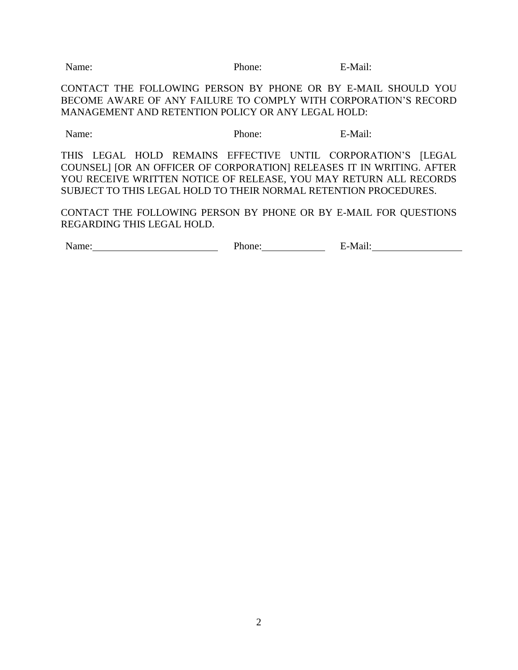Name: Phone: E-Mail:

CONTACT THE FOLLOWING PERSON BY PHONE OR BY E-MAIL SHOULD YOU BECOME AWARE OF ANY FAILURE TO COMPLY WITH CORPORATION'S RECORD MANAGEMENT AND RETENTION POLICY OR ANY LEGAL HOLD:

Name: B-Mail: Phone: E-Mail:

THIS LEGAL HOLD REMAINS EFFECTIVE UNTIL CORPORATION'S [LEGAL COUNSEL] [OR AN OFFICER OF CORPORATION] RELEASES IT IN WRITING. AFTER YOU RECEIVE WRITTEN NOTICE OF RELEASE, YOU MAY RETURN ALL RECORDS SUBJECT TO THIS LEGAL HOLD TO THEIR NORMAL RETENTION PROCEDURES.

CONTACT THE FOLLOWING PERSON BY PHONE OR BY E-MAIL FOR QUESTIONS REGARDING THIS LEGAL HOLD.

Name: Name: Phone: Phone: E-Mail: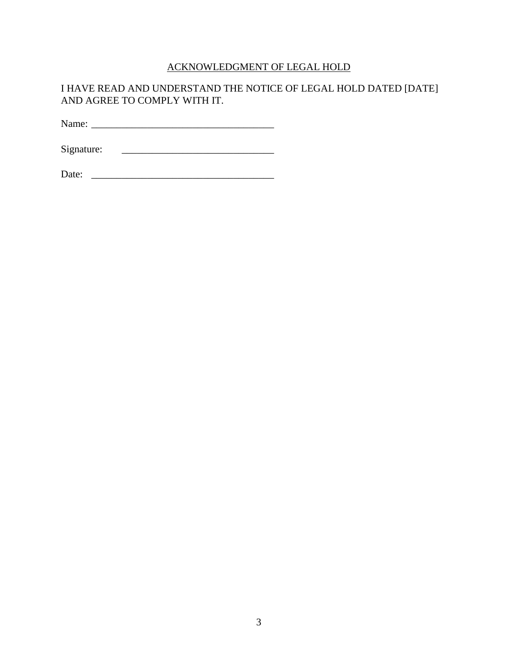# ACKNOWLEDGMENT OF LEGAL HOLD

## I HAVE READ AND UNDERSTAND THE NOTICE OF LEGAL HOLD DATED [DATE] AND AGREE TO COMPLY WITH IT.

Name: \_\_\_\_\_\_\_\_\_\_\_\_\_\_\_\_\_\_\_\_\_\_\_\_\_\_\_\_\_\_\_\_\_\_\_\_

Signature: \_\_\_\_\_\_\_\_\_\_\_\_\_\_\_\_\_\_\_\_\_\_\_\_\_\_\_\_\_\_

Date: \_\_\_\_\_\_\_\_\_\_\_\_\_\_\_\_\_\_\_\_\_\_\_\_\_\_\_\_\_\_\_\_\_\_\_\_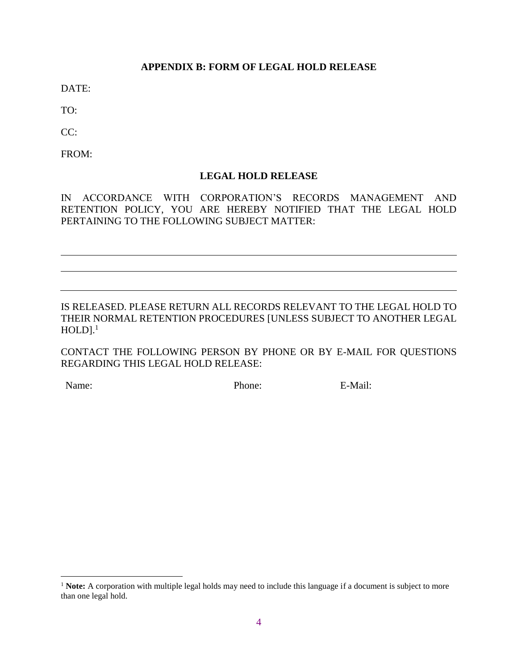## **APPENDIX B: FORM OF LEGAL HOLD RELEASE**

DATE:

TO:

 $CC:$ 

FROM:

## **LEGAL HOLD RELEASE**

IN ACCORDANCE WITH CORPORATION'S RECORDS MANAGEMENT AND RETENTION POLICY, YOU ARE HEREBY NOTIFIED THAT THE LEGAL HOLD PERTAINING TO THE FOLLOWING SUBJECT MATTER:

IS RELEASED. PLEASE RETURN ALL RECORDS RELEVANT TO THE LEGAL HOLD TO THEIR NORMAL RETENTION PROCEDURES [UNLESS SUBJECT TO ANOTHER LEGAL  $\mathrm{HOLD}\mathrm{l}$ .<sup>1</sup>

CONTACT THE FOLLOWING PERSON BY PHONE OR BY E-MAIL FOR QUESTIONS REGARDING THIS LEGAL HOLD RELEASE:

 $\overline{a}$ 

Name: E-Mail: Phone: E-Mail:

<sup>&</sup>lt;sup>1</sup> Note: A corporation with multiple legal holds may need to include this language if a document is subject to more than one legal hold.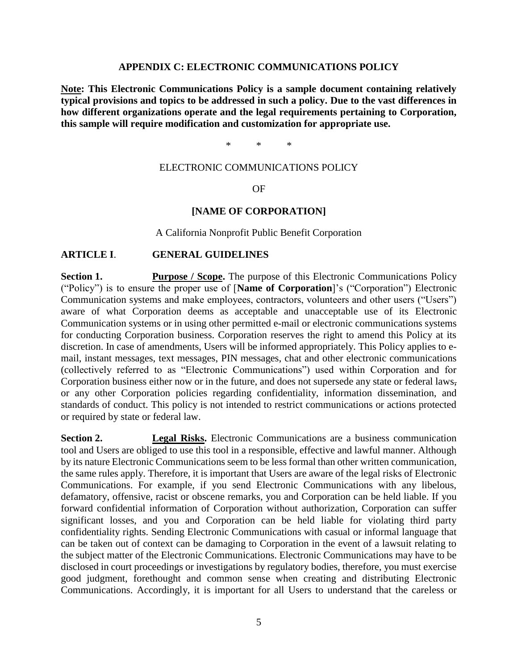#### **APPENDIX C: ELECTRONIC COMMUNICATIONS POLICY**

**Note: This Electronic Communications Policy is a sample document containing relatively typical provisions and topics to be addressed in such a policy. Due to the vast differences in how different organizations operate and the legal requirements pertaining to Corporation, this sample will require modification and customization for appropriate use.**

\* \* \*

#### ELECTRONIC COMMUNICATIONS POLICY

OF

#### **[NAME OF CORPORATION]**

A California Nonprofit Public Benefit Corporation

#### **ARTICLE I**. **GENERAL GUIDELINES**

**Section 1. Purpose / Scope.** The purpose of this Electronic Communications Policy ("Policy") is to ensure the proper use of [**Name of Corporation**]'s ("Corporation") Electronic Communication systems and make employees, contractors, volunteers and other users ("Users") aware of what Corporation deems as acceptable and unacceptable use of its Electronic Communication systems or in using other permitted e-mail or electronic communications systems for conducting Corporation business. Corporation reserves the right to amend this Policy at its discretion. In case of amendments, Users will be informed appropriately. This Policy applies to email, instant messages, text messages, PIN messages, chat and other electronic communications (collectively referred to as "Electronic Communications") used within Corporation and for Corporation business either now or in the future, and does not supersede any state or federal laws, or any other Corporation policies regarding confidentiality, information dissemination, and standards of conduct. This policy is not intended to restrict communications or actions protected or required by state or federal law.

**Section 2. Legal Risks.** Electronic Communications are a business communication tool and Users are obliged to use this tool in a responsible, effective and lawful manner. Although by its nature Electronic Communications seem to be less formal than other written communication, the same rules apply. Therefore, it is important that Users are aware of the legal risks of Electronic Communications. For example, if you send Electronic Communications with any libelous, defamatory, offensive, racist or obscene remarks, you and Corporation can be held liable. If you forward confidential information of Corporation without authorization, Corporation can suffer significant losses, and you and Corporation can be held liable for violating third party confidentiality rights. Sending Electronic Communications with casual or informal language that can be taken out of context can be damaging to Corporation in the event of a lawsuit relating to the subject matter of the Electronic Communications. Electronic Communications may have to be disclosed in court proceedings or investigations by regulatory bodies, therefore, you must exercise good judgment, forethought and common sense when creating and distributing Electronic Communications. Accordingly, it is important for all Users to understand that the careless or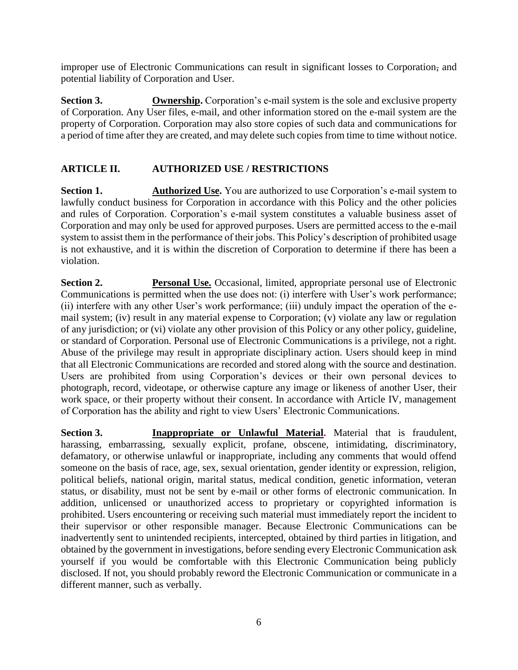improper use of Electronic Communications can result in significant losses to Corporation, and potential liability of Corporation and User.

**Section 3. Conversion**. Corporation's e-mail system is the sole and exclusive property of Corporation. Any User files, e-mail, and other information stored on the e-mail system are the property of Corporation. Corporation may also store copies of such data and communications for a period of time after they are created, and may delete such copies from time to time without notice.

## **ARTICLE II. AUTHORIZED USE / RESTRICTIONS**

**Section 1. Authorized Use.** You are authorized to use Corporation's e-mail system to lawfully conduct business for Corporation in accordance with this Policy and the other policies and rules of Corporation. Corporation's e-mail system constitutes a valuable business asset of Corporation and may only be used for approved purposes. Users are permitted access to the e-mail system to assist them in the performance of their jobs. This Policy's description of prohibited usage is not exhaustive, and it is within the discretion of Corporation to determine if there has been a violation.

**Section 2. Personal Use.** Occasional, limited, appropriate personal use of Electronic Communications is permitted when the use does not: (i) interfere with User's work performance; (ii) interfere with any other User's work performance; (iii) unduly impact the operation of the email system; (iv) result in any material expense to Corporation; (v) violate any law or regulation of any jurisdiction; or (vi) violate any other provision of this Policy or any other policy, guideline, or standard of Corporation. Personal use of Electronic Communications is a privilege, not a right. Abuse of the privilege may result in appropriate disciplinary action. Users should keep in mind that all Electronic Communications are recorded and stored along with the source and destination. Users are prohibited from using Corporation's devices or their own personal devices to photograph, record, videotape, or otherwise capture any image or likeness of another User, their work space, or their property without their consent. In accordance with Article IV, management of Corporation has the ability and right to view Users' Electronic Communications.

**Section 3. Inappropriate or Unlawful Material.** Material that is fraudulent, harassing, embarrassing, sexually explicit, profane, obscene, intimidating, discriminatory, defamatory, or otherwise unlawful or inappropriate, including any comments that would offend someone on the basis of race, age, sex, sexual orientation, gender identity or expression, religion, political beliefs, national origin, marital status, medical condition, genetic information, veteran status, or disability, must not be sent by e-mail or other forms of electronic communication. In addition, unlicensed or unauthorized access to proprietary or copyrighted information is prohibited. Users encountering or receiving such material must immediately report the incident to their supervisor or other responsible manager. Because Electronic Communications can be inadvertently sent to unintended recipients, intercepted, obtained by third parties in litigation, and obtained by the government in investigations, before sending every Electronic Communication ask yourself if you would be comfortable with this Electronic Communication being publicly disclosed. If not, you should probably reword the Electronic Communication or communicate in a different manner, such as verbally.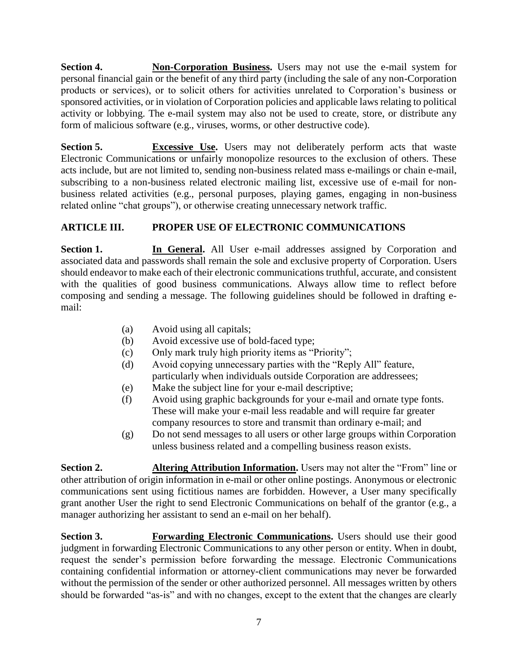**Section 4. Non-Corporation Business.** Users may not use the e-mail system for personal financial gain or the benefit of any third party (including the sale of any non-Corporation products or services), or to solicit others for activities unrelated to Corporation's business or sponsored activities, or in violation of Corporation policies and applicable laws relating to political activity or lobbying. The e-mail system may also not be used to create, store, or distribute any form of malicious software (e.g., viruses, worms, or other destructive code).

**Section 5. Excessive Use.** Users may not deliberately perform acts that waste Electronic Communications or unfairly monopolize resources to the exclusion of others. These acts include, but are not limited to, sending non-business related mass e-mailings or chain e-mail, subscribing to a non-business related electronic mailing list, excessive use of e-mail for nonbusiness related activities (e.g., personal purposes, playing games, engaging in non-business related online "chat groups"), or otherwise creating unnecessary network traffic.

# **ARTICLE III. PROPER USE OF ELECTRONIC COMMUNICATIONS**

**Section 1. In General.** All User e-mail addresses assigned by Corporation and associated data and passwords shall remain the sole and exclusive property of Corporation. Users should endeavor to make each of their electronic communications truthful, accurate, and consistent with the qualities of good business communications. Always allow time to reflect before composing and sending a message. The following guidelines should be followed in drafting email:

- (a) Avoid using all capitals;
- (b) Avoid excessive use of bold-faced type;
- (c) Only mark truly high priority items as "Priority";
- (d) Avoid copying unnecessary parties with the "Reply All" feature, particularly when individuals outside Corporation are addressees;
- (e) Make the subject line for your e-mail descriptive;
- (f) Avoid using graphic backgrounds for your e-mail and ornate type fonts. These will make your e-mail less readable and will require far greater company resources to store and transmit than ordinary e-mail; and
- (g) Do not send messages to all users or other large groups within Corporation unless business related and a compelling business reason exists.

**Section 2. Altering Attribution Information.** Users may not alter the "From" line or other attribution of origin information in e-mail or other online postings. Anonymous or electronic communications sent using fictitious names are forbidden. However, a User many specifically grant another User the right to send Electronic Communications on behalf of the grantor (e.g., a manager authorizing her assistant to send an e-mail on her behalf).

**Section 3. Forwarding Electronic Communications.** Users should use their good judgment in forwarding Electronic Communications to any other person or entity. When in doubt, request the sender's permission before forwarding the message. Electronic Communications containing confidential information or attorney-client communications may never be forwarded without the permission of the sender or other authorized personnel. All messages written by others should be forwarded "as-is" and with no changes, except to the extent that the changes are clearly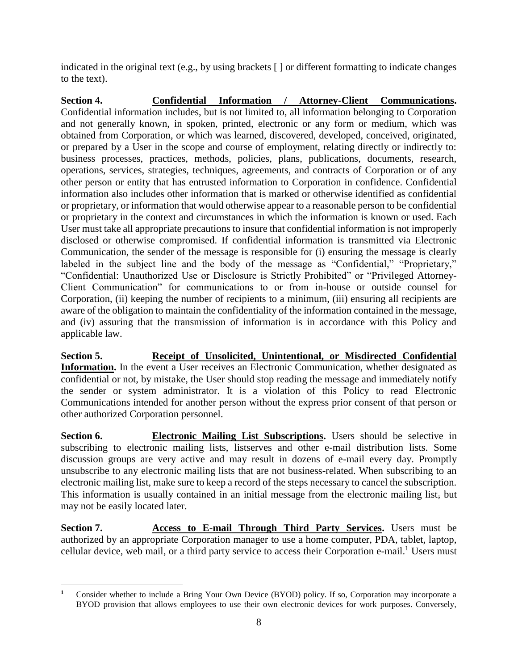indicated in the original text (e.g., by using brackets [ ] or different formatting to indicate changes to the text).

**Section 4. Confidential Information / Attorney-Client Communications.** Confidential information includes, but is not limited to, all information belonging to Corporation and not generally known, in spoken, printed, electronic or any form or medium, which was obtained from Corporation, or which was learned, discovered, developed, conceived, originated, or prepared by a User in the scope and course of employment, relating directly or indirectly to: business processes, practices, methods, policies, plans, publications, documents, research, operations, services, strategies, techniques, agreements, and contracts of Corporation or of any other person or entity that has entrusted information to Corporation in confidence. Confidential information also includes other information that is marked or otherwise identified as confidential or proprietary, or information that would otherwise appear to a reasonable person to be confidential or proprietary in the context and circumstances in which the information is known or used. Each User must take all appropriate precautions to insure that confidential information is not improperly disclosed or otherwise compromised. If confidential information is transmitted via Electronic Communication, the sender of the message is responsible for (i) ensuring the message is clearly labeled in the subject line and the body of the message as "Confidential," "Proprietary," "Confidential: Unauthorized Use or Disclosure is Strictly Prohibited" or "Privileged Attorney-Client Communication" for communications to or from in-house or outside counsel for Corporation, (ii) keeping the number of recipients to a minimum, (iii) ensuring all recipients are aware of the obligation to maintain the confidentiality of the information contained in the message, and (iv) assuring that the transmission of information is in accordance with this Policy and applicable law.

**Section 5. Receipt of Unsolicited, Unintentional, or Misdirected Confidential Information.** In the event a User receives an Electronic Communication, whether designated as confidential or not, by mistake, the User should stop reading the message and immediately notify the sender or system administrator. It is a violation of this Policy to read Electronic Communications intended for another person without the express prior consent of that person or other authorized Corporation personnel.

**Section 6. Electronic Mailing List Subscriptions.** Users should be selective in subscribing to electronic mailing lists, listserves and other e-mail distribution lists. Some discussion groups are very active and may result in dozens of e-mail every day. Promptly unsubscribe to any electronic mailing lists that are not business-related. When subscribing to an electronic mailing list, make sure to keep a record of the steps necessary to cancel the subscription. This information is usually contained in an initial message from the electronic mailing list, but may not be easily located later.

**Section 7. Access to E-mail Through Third Party Services.** Users must be authorized by an appropriate Corporation manager to use a home computer, PDA, tablet, laptop, cellular device, web mail, or a third party service to access their Corporation e-mail.<sup>1</sup> Users must

 $\overline{a}$ **<sup>1</sup>** Consider whether to include a Bring Your Own Device (BYOD) policy. If so, Corporation may incorporate a BYOD provision that allows employees to use their own electronic devices for work purposes. Conversely,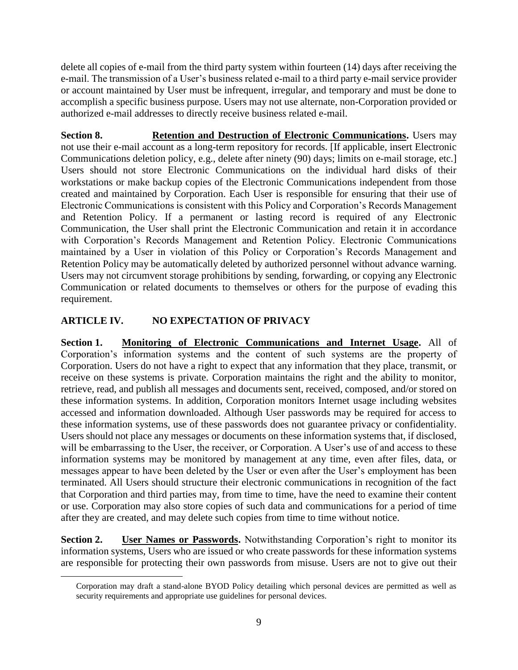delete all copies of e-mail from the third party system within fourteen (14) days after receiving the e-mail. The transmission of a User's business related e-mail to a third party e-mail service provider or account maintained by User must be infrequent, irregular, and temporary and must be done to accomplish a specific business purpose. Users may not use alternate, non-Corporation provided or authorized e-mail addresses to directly receive business related e-mail.

**Section 8. Retention and Destruction of Electronic Communications.** Users may not use their e-mail account as a long-term repository for records. [If applicable, insert Electronic Communications deletion policy, e.g., delete after ninety (90) days; limits on e-mail storage, etc.] Users should not store Electronic Communications on the individual hard disks of their workstations or make backup copies of the Electronic Communications independent from those created and maintained by Corporation. Each User is responsible for ensuring that their use of Electronic Communications is consistent with this Policy and Corporation's Records Management and Retention Policy. If a permanent or lasting record is required of any Electronic Communication, the User shall print the Electronic Communication and retain it in accordance with Corporation's Records Management and Retention Policy. Electronic Communications maintained by a User in violation of this Policy or Corporation's Records Management and Retention Policy may be automatically deleted by authorized personnel without advance warning. Users may not circumvent storage prohibitions by sending, forwarding, or copying any Electronic Communication or related documents to themselves or others for the purpose of evading this requirement.

# **ARTICLE IV. NO EXPECTATION OF PRIVACY**

 $\overline{a}$ 

**Section 1. Monitoring of Electronic Communications and Internet Usage.** All of Corporation's information systems and the content of such systems are the property of Corporation. Users do not have a right to expect that any information that they place, transmit, or receive on these systems is private. Corporation maintains the right and the ability to monitor, retrieve, read, and publish all messages and documents sent, received, composed, and/or stored on these information systems. In addition, Corporation monitors Internet usage including websites accessed and information downloaded. Although User passwords may be required for access to these information systems, use of these passwords does not guarantee privacy or confidentiality. Users should not place any messages or documents on these information systems that, if disclosed, will be embarrassing to the User, the receiver, or Corporation. A User's use of and access to these information systems may be monitored by management at any time, even after files, data, or messages appear to have been deleted by the User or even after the User's employment has been terminated. All Users should structure their electronic communications in recognition of the fact that Corporation and third parties may, from time to time, have the need to examine their content or use. Corporation may also store copies of such data and communications for a period of time after they are created, and may delete such copies from time to time without notice.

**Section 2. User Names or Passwords.** Notwithstanding Corporation's right to monitor its information systems, Users who are issued or who create passwords for these information systems are responsible for protecting their own passwords from misuse. Users are not to give out their

Corporation may draft a stand-alone BYOD Policy detailing which personal devices are permitted as well as security requirements and appropriate use guidelines for personal devices.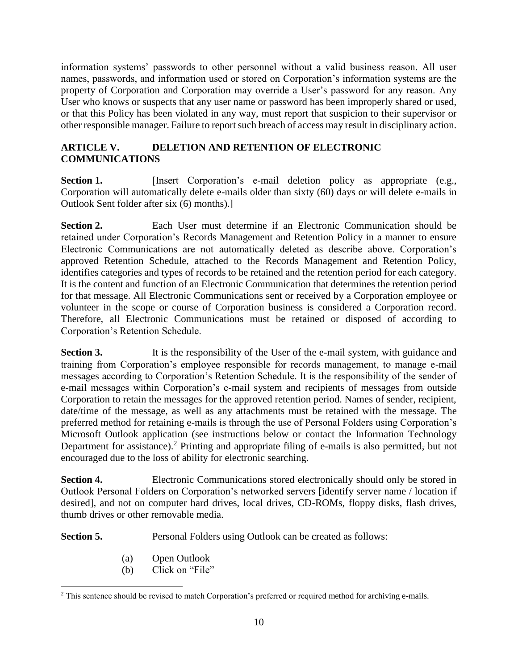information systems' passwords to other personnel without a valid business reason. All user names, passwords, and information used or stored on Corporation's information systems are the property of Corporation and Corporation may override a User's password for any reason. Any User who knows or suspects that any user name or password has been improperly shared or used, or that this Policy has been violated in any way, must report that suspicion to their supervisor or other responsible manager. Failure to report such breach of access may result in disciplinary action.

# **ARTICLE V. DELETION AND RETENTION OF ELECTRONIC COMMUNICATIONS**

**Section 1.** [Insert Corporation's e-mail deletion policy as appropriate (e.g., Corporation will automatically delete e-mails older than sixty (60) days or will delete e-mails in Outlook Sent folder after six (6) months).]

**Section 2.** Each User must determine if an Electronic Communication should be retained under Corporation's Records Management and Retention Policy in a manner to ensure Electronic Communications are not automatically deleted as describe above. Corporation's approved Retention Schedule, attached to the Records Management and Retention Policy, identifies categories and types of records to be retained and the retention period for each category. It is the content and function of an Electronic Communication that determines the retention period for that message. All Electronic Communications sent or received by a Corporation employee or volunteer in the scope or course of Corporation business is considered a Corporation record. Therefore, all Electronic Communications must be retained or disposed of according to Corporation's Retention Schedule.

**Section 3.** It is the responsibility of the User of the e-mail system, with guidance and training from Corporation's employee responsible for records management, to manage e-mail messages according to Corporation's Retention Schedule. It is the responsibility of the sender of e-mail messages within Corporation's e-mail system and recipients of messages from outside Corporation to retain the messages for the approved retention period. Names of sender, recipient, date/time of the message, as well as any attachments must be retained with the message. The preferred method for retaining e-mails is through the use of Personal Folders using Corporation's Microsoft Outlook application (see instructions below or contact the Information Technology Department for assistance).<sup>2</sup> Printing and appropriate filing of e-mails is also permitted, but not encouraged due to the loss of ability for electronic searching.

**Section 4.** Electronic Communications stored electronically should only be stored in Outlook Personal Folders on Corporation's networked servers [identify server name / location if desired], and not on computer hard drives, local drives, CD-ROMs, floppy disks, flash drives, thumb drives or other removable media.

**Section 5.** Personal Folders using Outlook can be created as follows:

(a) Open Outlook

 $\overline{a}$ 

(b) Click on "File"

<sup>&</sup>lt;sup>2</sup> This sentence should be revised to match Corporation's preferred or required method for archiving e-mails.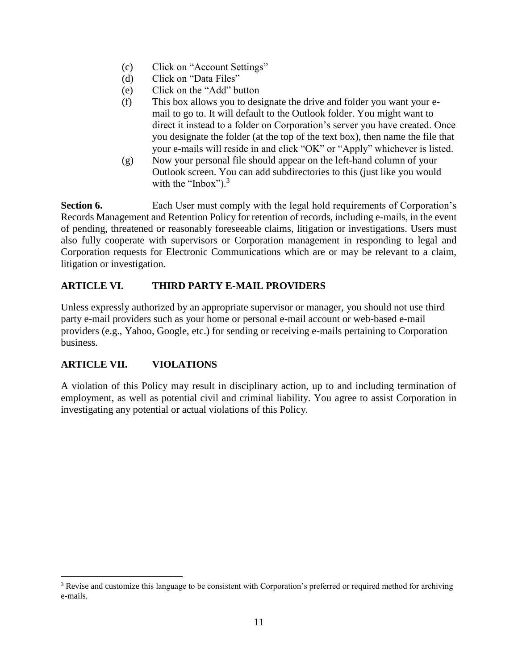- (c) Click on "Account Settings"
- (d) Click on "Data Files"
- (e) Click on the "Add" button
- (f) This box allows you to designate the drive and folder you want your email to go to. It will default to the Outlook folder. You might want to direct it instead to a folder on Corporation's server you have created. Once you designate the folder (at the top of the text box), then name the file that your e-mails will reside in and click "OK" or "Apply" whichever is listed.
- (g) Now your personal file should appear on the left-hand column of your Outlook screen. You can add subdirectories to this (just like you would with the "Inbox").<sup>3</sup>

**Section 6.** Each User must comply with the legal hold requirements of Corporation's Records Management and Retention Policy for retention of records, including e-mails, in the event of pending, threatened or reasonably foreseeable claims, litigation or investigations. Users must also fully cooperate with supervisors or Corporation management in responding to legal and Corporation requests for Electronic Communications which are or may be relevant to a claim, litigation or investigation.

# **ARTICLE VI. THIRD PARTY E-MAIL PROVIDERS**

Unless expressly authorized by an appropriate supervisor or manager, you should not use third party e-mail providers such as your home or personal e-mail account or web-based e-mail providers (e.g., Yahoo, Google, etc.) for sending or receiving e-mails pertaining to Corporation business.

# **ARTICLE VII. VIOLATIONS**

 $\overline{a}$ 

A violation of this Policy may result in disciplinary action, up to and including termination of employment, as well as potential civil and criminal liability. You agree to assist Corporation in investigating any potential or actual violations of this Policy.

<sup>&</sup>lt;sup>3</sup> Revise and customize this language to be consistent with Corporation's preferred or required method for archiving e-mails.